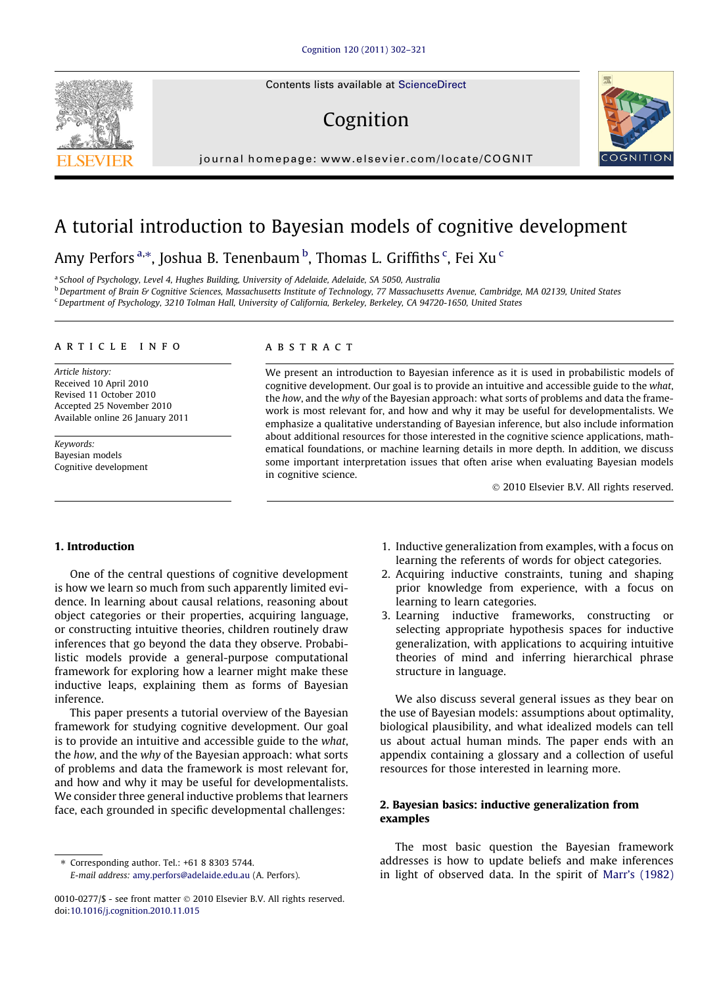Contents lists available at [ScienceDirect](http://www.sciencedirect.com/science/journal/00100277)

# Cognition

journal homepage: [www.elsevier.com/locate/COGNIT](http://www.elsevier.com/locate/COGNIT)



# A tutorial introduction to Bayesian models of cognitive development

Amy Perfors <sup>a,\*</sup>, Joshua B. Tenenbaum <sup>b</sup>, Thomas L. Griffiths <sup>c</sup>, Fei Xu <sup>c</sup>

<sup>a</sup> School of Psychology, Level 4, Hughes Building, University of Adelaide, Adelaide, SA 5050, Australia

**b** Department of Brain & Cognitive Sciences, Massachusetts Institute of Technology, 77 Massachusetts Avenue, Cambridge, MA 02139, United States

<sup>c</sup> Department of Psychology, 3210 Tolman Hall, University of California, Berkeley, Berkeley, CA 94720-1650, United States

## article info

Article history: Received 10 April 2010 Revised 11 October 2010 Accepted 25 November 2010 Available online 26 January 2011

Keywords: Bayesian models Cognitive development

## **ABSTRACT**

We present an introduction to Bayesian inference as it is used in probabilistic models of cognitive development. Our goal is to provide an intuitive and accessible guide to the what, the how, and the why of the Bayesian approach: what sorts of problems and data the framework is most relevant for, and how and why it may be useful for developmentalists. We emphasize a qualitative understanding of Bayesian inference, but also include information about additional resources for those interested in the cognitive science applications, mathematical foundations, or machine learning details in more depth. In addition, we discuss some important interpretation issues that often arise when evaluating Bayesian models in cognitive science.

© 2010 Elsevier B.V. All rights reserved.

## 1. Introduction

One of the central questions of cognitive development is how we learn so much from such apparently limited evidence. In learning about causal relations, reasoning about object categories or their properties, acquiring language, or constructing intuitive theories, children routinely draw inferences that go beyond the data they observe. Probabilistic models provide a general-purpose computational framework for exploring how a learner might make these inductive leaps, explaining them as forms of Bayesian inference.

This paper presents a tutorial overview of the Bayesian framework for studying cognitive development. Our goal is to provide an intuitive and accessible guide to the what, the how, and the why of the Bayesian approach: what sorts of problems and data the framework is most relevant for, and how and why it may be useful for developmentalists. We consider three general inductive problems that learners face, each grounded in specific developmental challenges:

- 1. Inductive generalization from examples, with a focus on learning the referents of words for object categories.
- 2. Acquiring inductive constraints, tuning and shaping prior knowledge from experience, with a focus on learning to learn categories.
- 3. Learning inductive frameworks, constructing or selecting appropriate hypothesis spaces for inductive generalization, with applications to acquiring intuitive theories of mind and inferring hierarchical phrase structure in language.

We also discuss several general issues as they bear on the use of Bayesian models: assumptions about optimality, biological plausibility, and what idealized models can tell us about actual human minds. The paper ends with an appendix containing a glossary and a collection of useful resources for those interested in learning more.

# 2. Bayesian basics: inductive generalization from examples

The most basic question the Bayesian framework addresses is how to update beliefs and make inferences in light of observed data. In the spirit of [Marr's \(1982\)](#page-18-0)



<sup>⇑</sup> Corresponding author. Tel.: +61 8 8303 5744. E-mail address: [amy.perfors@adelaide.edu.au](mailto:amy.perfors@adelaide.edu.au) (A. Perfors).

<sup>0010-0277/\$ -</sup> see front matter © 2010 Elsevier B.V. All rights reserved. doi[:10.1016/j.cognition.2010.11.015](http://dx.doi.org/10.1016/j.cognition.2010.11.015)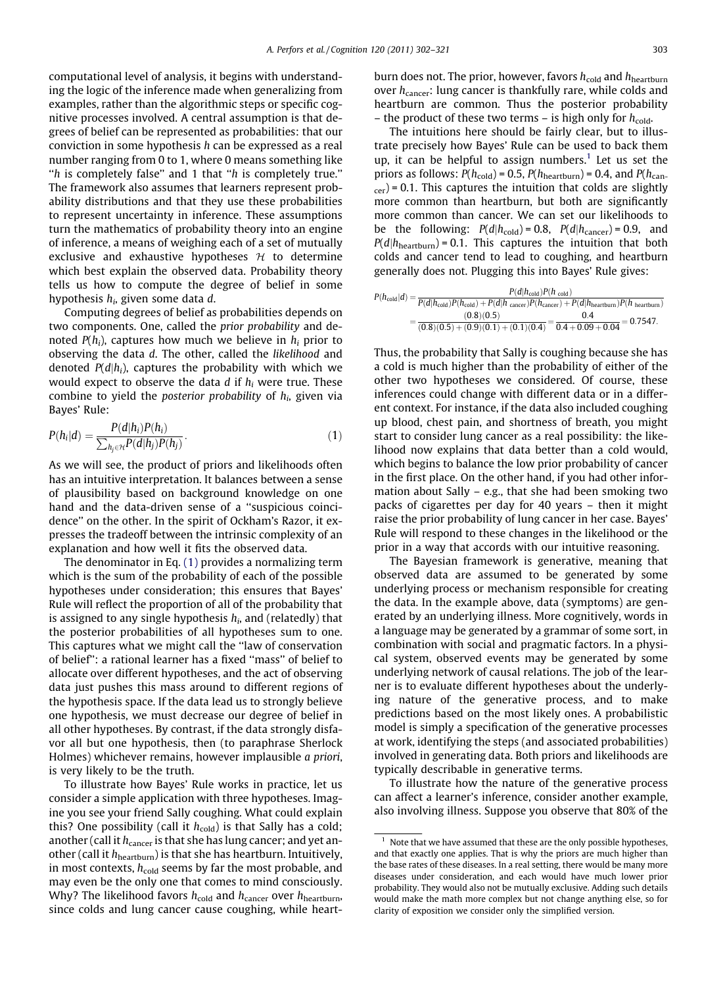computational level of analysis, it begins with understanding the logic of the inference made when generalizing from examples, rather than the algorithmic steps or specific cognitive processes involved. A central assumption is that degrees of belief can be represented as probabilities: that our conviction in some hypothesis h can be expressed as a real number ranging from 0 to 1, where 0 means something like ''h is completely false'' and 1 that ''h is completely true.'' The framework also assumes that learners represent probability distributions and that they use these probabilities to represent uncertainty in inference. These assumptions turn the mathematics of probability theory into an engine of inference, a means of weighing each of a set of mutually exclusive and exhaustive hypotheses  $H$  to determine which best explain the observed data. Probability theory tells us how to compute the degree of belief in some hypothesis  $h_i$ , given some data d.

Computing degrees of belief as probabilities depends on two components. One, called the prior probability and denoted  $P(h_i)$ , captures how much we believe in  $h_i$  prior to observing the data d. The other, called the likelihood and denoted  $P(d|h_i)$ , captures the probability with which we would expect to observe the data  $d$  if  $h_i$  were true. These combine to yield the posterior probability of  $h_i$ , given via Bayes' Rule:

$$
P(h_i|d) = \frac{P(d|h_i)P(h_i)}{\sum_{h_j \in \mathcal{H}} P(d|h_j)P(h_j)}.
$$
\n(1)

As we will see, the product of priors and likelihoods often has an intuitive interpretation. It balances between a sense of plausibility based on background knowledge on one hand and the data-driven sense of a ''suspicious coincidence'' on the other. In the spirit of Ockham's Razor, it expresses the tradeoff between the intrinsic complexity of an explanation and how well it fits the observed data.

The denominator in Eq. (1) provides a normalizing term which is the sum of the probability of each of the possible hypotheses under consideration; this ensures that Bayes' Rule will reflect the proportion of all of the probability that is assigned to any single hypothesis  $h_i$ , and (relatedly) that the posterior probabilities of all hypotheses sum to one. This captures what we might call the ''law of conservation of belief'': a rational learner has a fixed ''mass'' of belief to allocate over different hypotheses, and the act of observing data just pushes this mass around to different regions of the hypothesis space. If the data lead us to strongly believe one hypothesis, we must decrease our degree of belief in all other hypotheses. By contrast, if the data strongly disfavor all but one hypothesis, then (to paraphrase Sherlock Holmes) whichever remains, however implausible a priori, is very likely to be the truth.

To illustrate how Bayes' Rule works in practice, let us consider a simple application with three hypotheses. Imagine you see your friend Sally coughing. What could explain this? One possibility (call it  $h_{\text{cold}}$ ) is that Sally has a cold; another (call it  $h_{\text{cancer}}$  is that she has lung cancer; and yet another (call it  $h_{\text{heartburn}}$ ) is that she has heartburn. Intuitively, in most contexts,  $h_{cold}$  seems by far the most probable, and may even be the only one that comes to mind consciously. Why? The likelihood favors  $h_{\text{cold}}$  and  $h_{\text{cancer}}$  over  $h_{\text{heartburn}}$ , since colds and lung cancer cause coughing, while heartburn does not. The prior, however, favors  $h_{\text{cold}}$  and  $h_{\text{heartburn}}$ over  $h_{\text{cancer}}$ : lung cancer is thankfully rare, while colds and heartburn are common. Thus the posterior probability – the product of these two terms – is high only for  $h_{\text{cold}}$ .

The intuitions here should be fairly clear, but to illustrate precisely how Bayes' Rule can be used to back them up, it can be helpful to assign numbers.<sup>1</sup> Let us set the priors as follows:  $P(h_{\text{cold}}) = 0.5$ ,  $P(h_{\text{heartburn}}) = 0.4$ , and  $P(h_{\text{can}})$  $_{\rm cer}$ ) = 0.1. This captures the intuition that colds are slightly more common than heartburn, but both are significantly more common than cancer. We can set our likelihoods to be the following:  $P(d|h_{\text{cold}}) = 0.8$ ,  $P(d|h_{\text{cancer}}) = 0.9$ , and  $P(d|h_{\text{heartburn}}) = 0.1$ . This captures the intuition that both colds and cancer tend to lead to coughing, and heartburn generally does not. Plugging this into Bayes' Rule gives:

| $P(d h_{\text{cold}})P(h_{\text{cold}})$<br>$P(h_{\rm cold} d) = \overline{P(d h_{\rm cold})P(h_{\rm cold})+P(d h_{\rm cancer})P(h_{\rm cancer})+P(d h_{\rm{heartburn}})P(h_{\rm{heartburn}})}$ |     |
|-------------------------------------------------------------------------------------------------------------------------------------------------------------------------------------------------|-----|
|                                                                                                                                                                                                 |     |
| (0.8)(0.5)                                                                                                                                                                                      | 0.4 |
| $\frac{(0.8)(0.5) + (0.9)(0.1) + (0.1)(0.4)}{0.4 + 0.09 + 0.04} = 0.7547.$                                                                                                                      |     |

Thus, the probability that Sally is coughing because she has a cold is much higher than the probability of either of the other two hypotheses we considered. Of course, these inferences could change with different data or in a different context. For instance, if the data also included coughing up blood, chest pain, and shortness of breath, you might start to consider lung cancer as a real possibility: the likelihood now explains that data better than a cold would, which begins to balance the low prior probability of cancer in the first place. On the other hand, if you had other information about Sally – e.g., that she had been smoking two packs of cigarettes per day for 40 years – then it might raise the prior probability of lung cancer in her case. Bayes' Rule will respond to these changes in the likelihood or the prior in a way that accords with our intuitive reasoning.

The Bayesian framework is generative, meaning that observed data are assumed to be generated by some underlying process or mechanism responsible for creating the data. In the example above, data (symptoms) are generated by an underlying illness. More cognitively, words in a language may be generated by a grammar of some sort, in combination with social and pragmatic factors. In a physical system, observed events may be generated by some underlying network of causal relations. The job of the learner is to evaluate different hypotheses about the underlying nature of the generative process, and to make predictions based on the most likely ones. A probabilistic model is simply a specification of the generative processes at work, identifying the steps (and associated probabilities) involved in generating data. Both priors and likelihoods are typically describable in generative terms.

To illustrate how the nature of the generative process can affect a learner's inference, consider another example, also involving illness. Suppose you observe that 80% of the

 $1$  Note that we have assumed that these are the only possible hypotheses, and that exactly one applies. That is why the priors are much higher than the base rates of these diseases. In a real setting, there would be many more diseases under consideration, and each would have much lower prior probability. They would also not be mutually exclusive. Adding such details would make the math more complex but not change anything else, so for clarity of exposition we consider only the simplified version.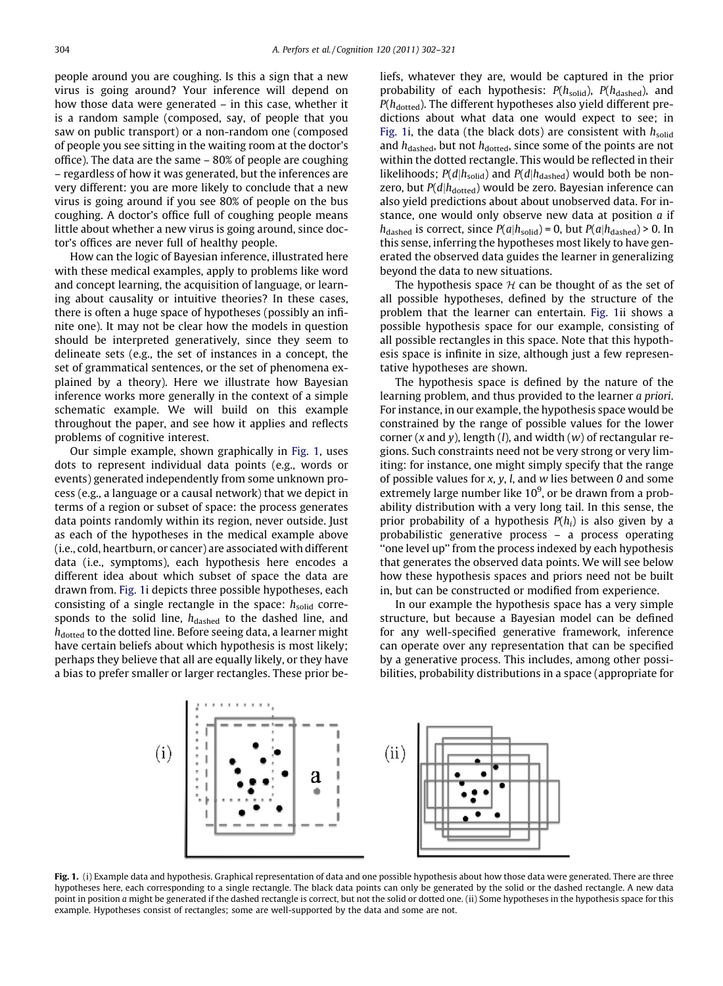people around you are coughing. Is this a sign that a new virus is going around? Your inference will depend on how those data were generated – in this case, whether it is a random sample (composed, say, of people that you saw on public transport) or a non-random one (composed of people you see sitting in the waiting room at the doctor's office). The data are the same – 80% of people are coughing – regardless of how it was generated, but the inferences are very different: you are more likely to conclude that a new virus is going around if you see 80% of people on the bus coughing. A doctor's office full of coughing people means little about whether a new virus is going around, since doctor's offices are never full of healthy people.

How can the logic of Bayesian inference, illustrated here with these medical examples, apply to problems like word and concept learning, the acquisition of language, or learning about causality or intuitive theories? In these cases, there is often a huge space of hypotheses (possibly an infinite one). It may not be clear how the models in question should be interpreted generatively, since they seem to delineate sets (e.g., the set of instances in a concept, the set of grammatical sentences, or the set of phenomena explained by a theory). Here we illustrate how Bayesian inference works more generally in the context of a simple schematic example. We will build on this example throughout the paper, and see how it applies and reflects problems of cognitive interest.

Our simple example, shown graphically in Fig. 1, uses dots to represent individual data points (e.g., words or events) generated independently from some unknown process (e.g., a language or a causal network) that we depict in terms of a region or subset of space: the process generates data points randomly within its region, never outside. Just as each of the hypotheses in the medical example above (i.e., cold, heartburn, or cancer) are associated with different data (i.e., symptoms), each hypothesis here encodes a different idea about which subset of space the data are drawn from. Fig. 1i depicts three possible hypotheses, each consisting of a single rectangle in the space:  $h_{solid}$  corresponds to the solid line,  $h_{\text{dashed}}$  to the dashed line, and  $h_{\text{dotted}}$  to the dotted line. Before seeing data, a learner might have certain beliefs about which hypothesis is most likely; perhaps they believe that all are equally likely, or they have a bias to prefer smaller or larger rectangles. These prior beliefs, whatever they are, would be captured in the prior probability of each hypothesis:  $P(h_{solid})$ ,  $P(h_{dashed})$ , and  $P(h_{\text{dotted}})$ . The different hypotheses also yield different predictions about what data one would expect to see; in Fig. 1i, the data (the black dots) are consistent with  $h_{\text{solid}}$ and  $h_{\text{dashed}}$ , but not  $h_{\text{dotted}}$ , since some of the points are not within the dotted rectangle. This would be reflected in their likelihoods;  $P(d|h_{solid})$  and  $P(d|h_{dashed})$  would both be nonzero, but  $P(d|h_{\text{dotted}})$  would be zero. Bayesian inference can also yield predictions about about unobserved data. For instance, one would only observe new data at position  $a$  if  $h_{\text{dashed}}$  is correct, since  $P(a|h_{\text{solid}}) = 0$ , but  $P(a|h_{\text{dashed}}) > 0$ . In this sense, inferring the hypotheses most likely to have generated the observed data guides the learner in generalizing beyond the data to new situations.

The hypothesis space  $H$  can be thought of as the set of all possible hypotheses, defined by the structure of the problem that the learner can entertain. Fig. 1ii shows a possible hypothesis space for our example, consisting of all possible rectangles in this space. Note that this hypothesis space is infinite in size, although just a few representative hypotheses are shown.

The hypothesis space is defined by the nature of the learning problem, and thus provided to the learner a priori. For instance, in our example, the hypothesis space would be constrained by the range of possible values for the lower corner (x and y), length (*l*), and width (*w*) of rectangular regions. Such constraints need not be very strong or very limiting: for instance, one might simply specify that the range of possible values for x, y, l, and w lies between  $\theta$  and some extremely large number like  $10<sup>9</sup>$ , or be drawn from a probability distribution with a very long tail. In this sense, the prior probability of a hypothesis  $P(h_i)$  is also given by a probabilistic generative process – a process operating ''one level up'' from the process indexed by each hypothesis that generates the observed data points. We will see below how these hypothesis spaces and priors need not be built in, but can be constructed or modified from experience.

In our example the hypothesis space has a very simple structure, but because a Bayesian model can be defined for any well-specified generative framework, inference can operate over any representation that can be specified by a generative process. This includes, among other possibilities, probability distributions in a space (appropriate for



Fig. 1. (i) Example data and hypothesis. Graphical representation of data and one possible hypothesis about how those data were generated. There are three hypotheses here, each corresponding to a single rectangle. The black data points can only be generated by the solid or the dashed rectangle. A new data point in position a might be generated if the dashed rectangle is correct, but not the solid or dotted one. (ii) Some hypotheses in the hypothesis space for this example. Hypotheses consist of rectangles; some are well-supported by the data and some are not.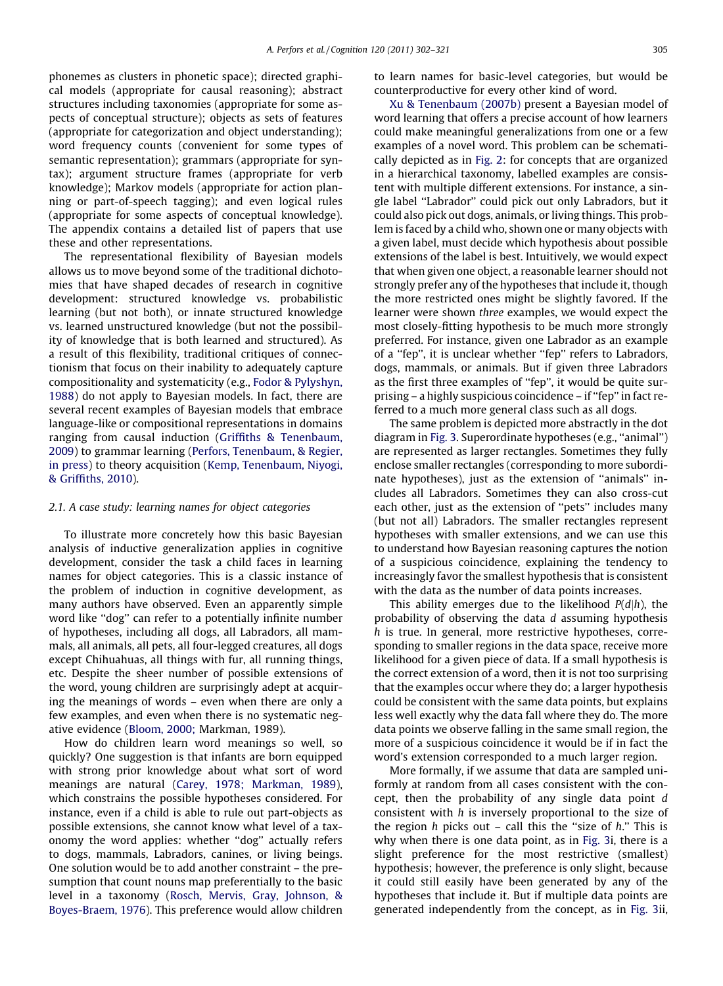phonemes as clusters in phonetic space); directed graphical models (appropriate for causal reasoning); abstract structures including taxonomies (appropriate for some aspects of conceptual structure); objects as sets of features (appropriate for categorization and object understanding); word frequency counts (convenient for some types of semantic representation); grammars (appropriate for syntax); argument structure frames (appropriate for verb knowledge); Markov models (appropriate for action planning or part-of-speech tagging); and even logical rules (appropriate for some aspects of conceptual knowledge). The appendix contains a detailed list of papers that use these and other representations.

The representational flexibility of Bayesian models allows us to move beyond some of the traditional dichotomies that have shaped decades of research in cognitive development: structured knowledge vs. probabilistic learning (but not both), or innate structured knowledge vs. learned unstructured knowledge (but not the possibility of knowledge that is both learned and structured). As a result of this flexibility, traditional critiques of connectionism that focus on their inability to adequately capture compositionality and systematicity (e.g., [Fodor & Pylyshyn,](#page-17-0) [1988\)](#page-17-0) do not apply to Bayesian models. In fact, there are several recent examples of Bayesian models that embrace language-like or compositional representations in domains ranging from causal induction [\(Griffiths & Tenenbaum,](#page-18-0) [2009\)](#page-18-0) to grammar learning ([Perfors, Tenenbaum, & Regier,](#page-18-0) [in press\)](#page-18-0) to theory acquisition [\(Kemp, Tenenbaum, Niyogi,](#page-18-0) [& Griffiths, 2010\)](#page-18-0).

## 2.1. A case study: learning names for object categories

To illustrate more concretely how this basic Bayesian analysis of inductive generalization applies in cognitive development, consider the task a child faces in learning names for object categories. This is a classic instance of the problem of induction in cognitive development, as many authors have observed. Even an apparently simple word like ''dog'' can refer to a potentially infinite number of hypotheses, including all dogs, all Labradors, all mammals, all animals, all pets, all four-legged creatures, all dogs except Chihuahuas, all things with fur, all running things, etc. Despite the sheer number of possible extensions of the word, young children are surprisingly adept at acquiring the meanings of words – even when there are only a few examples, and even when there is no systematic negative evidence [\(Bloom, 2000;](#page-17-0) Markman, 1989).

How do children learn word meanings so well, so quickly? One suggestion is that infants are born equipped with strong prior knowledge about what sort of word meanings are natural [\(Carey, 1978; Markman, 1989](#page-17-0)), which constrains the possible hypotheses considered. For instance, even if a child is able to rule out part-objects as possible extensions, she cannot know what level of a taxonomy the word applies: whether ''dog'' actually refers to dogs, mammals, Labradors, canines, or living beings. One solution would be to add another constraint – the presumption that count nouns map preferentially to the basic level in a taxonomy [\(Rosch, Mervis, Gray, Johnson, &](#page-19-0) [Boyes-Braem, 1976\)](#page-19-0). This preference would allow children

to learn names for basic-level categories, but would be counterproductive for every other kind of word.

[Xu & Tenenbaum \(2007b\)](#page-19-0) present a Bayesian model of word learning that offers a precise account of how learners could make meaningful generalizations from one or a few examples of a novel word. This problem can be schematically depicted as in [Fig. 2:](#page-4-0) for concepts that are organized in a hierarchical taxonomy, labelled examples are consistent with multiple different extensions. For instance, a single label ''Labrador'' could pick out only Labradors, but it could also pick out dogs, animals, or living things. This problem is faced by a child who, shown one or many objects with a given label, must decide which hypothesis about possible extensions of the label is best. Intuitively, we would expect that when given one object, a reasonable learner should not strongly prefer any of the hypotheses that include it, though the more restricted ones might be slightly favored. If the learner were shown three examples, we would expect the most closely-fitting hypothesis to be much more strongly preferred. For instance, given one Labrador as an example of a ''fep'', it is unclear whether ''fep'' refers to Labradors, dogs, mammals, or animals. But if given three Labradors as the first three examples of ''fep'', it would be quite surprising – a highly suspicious coincidence – if ''fep'' in fact referred to a much more general class such as all dogs.

The same problem is depicted more abstractly in the dot diagram in [Fig. 3.](#page-4-0) Superordinate hypotheses (e.g., ''animal'') are represented as larger rectangles. Sometimes they fully enclose smaller rectangles (corresponding to more subordinate hypotheses), just as the extension of ''animals'' includes all Labradors. Sometimes they can also cross-cut each other, just as the extension of ''pets'' includes many (but not all) Labradors. The smaller rectangles represent hypotheses with smaller extensions, and we can use this to understand how Bayesian reasoning captures the notion of a suspicious coincidence, explaining the tendency to increasingly favor the smallest hypothesis that is consistent with the data as the number of data points increases.

This ability emerges due to the likelihood  $P(d|h)$ , the probability of observing the data d assuming hypothesis h is true. In general, more restrictive hypotheses, corresponding to smaller regions in the data space, receive more likelihood for a given piece of data. If a small hypothesis is the correct extension of a word, then it is not too surprising that the examples occur where they do; a larger hypothesis could be consistent with the same data points, but explains less well exactly why the data fall where they do. The more data points we observe falling in the same small region, the more of a suspicious coincidence it would be if in fact the word's extension corresponded to a much larger region.

More formally, if we assume that data are sampled uniformly at random from all cases consistent with the concept, then the probability of any single data point d consistent with h is inversely proportional to the size of the region  $h$  picks out – call this the "size of  $h$ ." This is why when there is one data point, as in [Fig. 3i](#page-4-0), there is a slight preference for the most restrictive (smallest) hypothesis; however, the preference is only slight, because it could still easily have been generated by any of the hypotheses that include it. But if multiple data points are generated independently from the concept, as in [Fig. 3](#page-4-0)ii,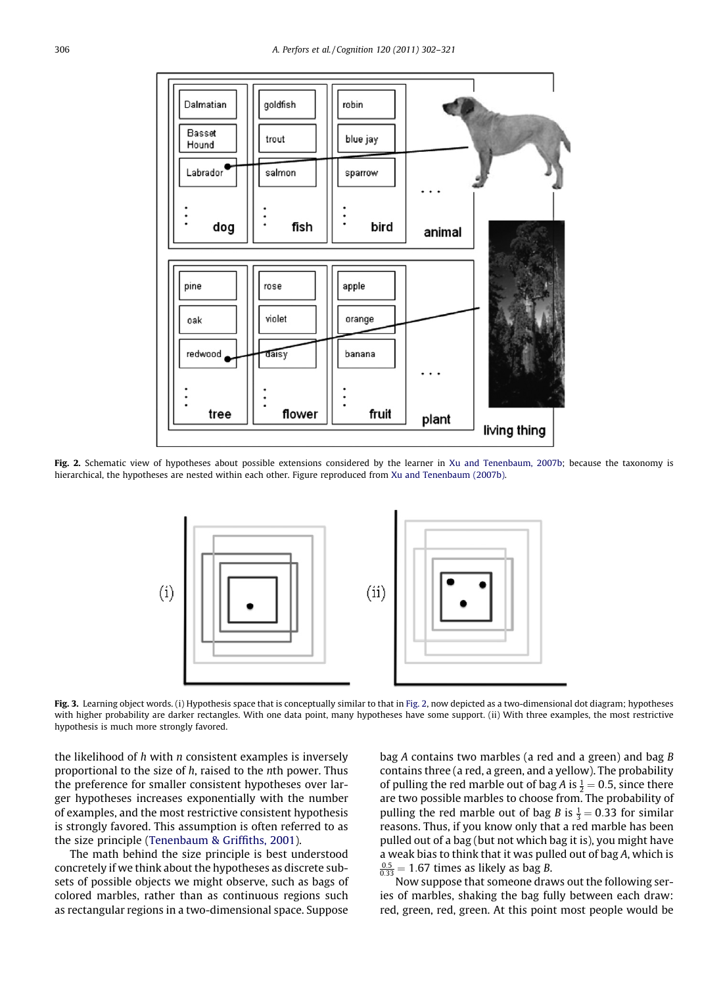<span id="page-4-0"></span>

Fig. 2. Schematic view of hypotheses about possible extensions considered by the learner in [Xu and Tenenbaum, 2007b](#page-19-0); because the taxonomy is hierarchical, the hypotheses are nested within each other. Figure reproduced from [Xu and Tenenbaum \(2007b\)](#page-19-0).



Fig. 3. Learning object words. (i) Hypothesis space that is conceptually similar to that in Fig. 2, now depicted as a two-dimensional dot diagram; hypotheses with higher probability are darker rectangles. With one data point, many hypotheses have some support. (ii) With three examples, the most restrictive hypothesis is much more strongly favored.

the likelihood of  $h$  with  $n$  consistent examples is inversely proportional to the size of h, raised to the nth power. Thus the preference for smaller consistent hypotheses over larger hypotheses increases exponentially with the number of examples, and the most restrictive consistent hypothesis is strongly favored. This assumption is often referred to as the size principle [\(Tenenbaum & Griffiths, 2001](#page-19-0)).

The math behind the size principle is best understood concretely if we think about the hypotheses as discrete subsets of possible objects we might observe, such as bags of colored marbles, rather than as continuous regions such as rectangular regions in a two-dimensional space. Suppose

bag A contains two marbles (a red and a green) and bag B contains three (a red, a green, and a yellow). The probability of pulling the red marble out of bag A is  $\frac{1}{2} = 0.5$ , since there are two possible marbles to choose from. The probability of pulling the red marble out of bag *B* is  $\frac{1}{3} = 0.33$  for similar reasons. Thus, if you know only that a red marble has been pulled out of a bag (but not which bag it is), you might have a weak bias to think that it was pulled out of bag A, which is  $\frac{0.5}{0.33}$  = 1.67 times as likely as bag B.

Now suppose that someone draws out the following series of marbles, shaking the bag fully between each draw: red, green, red, green. At this point most people would be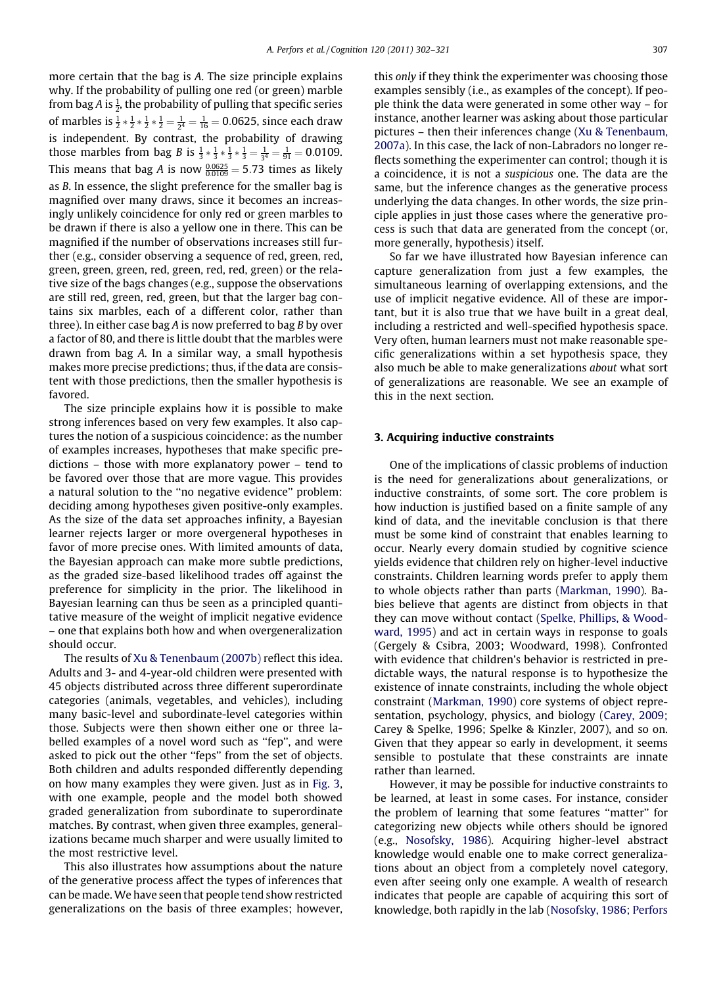more certain that the bag is A. The size principle explains why. If the probability of pulling one red (or green) marble from bag A is  $\frac{1}{2}$ , the probability of pulling that specific series of marbles is  $\frac{1}{2} * \frac{1}{2} * \frac{1}{2} * \frac{1}{2} = \frac{1}{2^4} = \frac{1}{16} = 0.0625$ , since each draw is independent. By contrast, the probability of drawing those marbles from bag *B* is  $\frac{1}{3} * \frac{1}{3} * \frac{1}{3} * \frac{1}{3} = \frac{1}{3^4} = \frac{1}{91} = 0.0109$ . This means that bag A is now  $\frac{0.0625}{0.0109} = 5.73$  times as likely as B. In essence, the slight preference for the smaller bag is magnified over many draws, since it becomes an increasingly unlikely coincidence for only red or green marbles to be drawn if there is also a yellow one in there. This can be magnified if the number of observations increases still further (e.g., consider observing a sequence of red, green, red, green, green, green, red, green, red, red, green) or the relative size of the bags changes (e.g., suppose the observations are still red, green, red, green, but that the larger bag contains six marbles, each of a different color, rather than three). In either case bag A is now preferred to bag B by over a factor of 80, and there is little doubt that the marbles were drawn from bag A. In a similar way, a small hypothesis makes more precise predictions; thus, if the data are consistent with those predictions, then the smaller hypothesis is favored.

The size principle explains how it is possible to make strong inferences based on very few examples. It also captures the notion of a suspicious coincidence: as the number of examples increases, hypotheses that make specific predictions – those with more explanatory power – tend to be favored over those that are more vague. This provides a natural solution to the ''no negative evidence'' problem: deciding among hypotheses given positive-only examples. As the size of the data set approaches infinity, a Bayesian learner rejects larger or more overgeneral hypotheses in favor of more precise ones. With limited amounts of data, the Bayesian approach can make more subtle predictions, as the graded size-based likelihood trades off against the preference for simplicity in the prior. The likelihood in Bayesian learning can thus be seen as a principled quantitative measure of the weight of implicit negative evidence – one that explains both how and when overgeneralization should occur.

The results of [Xu & Tenenbaum \(2007b\)](#page-19-0) reflect this idea. Adults and 3- and 4-year-old children were presented with 45 objects distributed across three different superordinate categories (animals, vegetables, and vehicles), including many basic-level and subordinate-level categories within those. Subjects were then shown either one or three labelled examples of a novel word such as ''fep'', and were asked to pick out the other ''feps'' from the set of objects. Both children and adults responded differently depending on how many examples they were given. Just as in [Fig. 3](#page-4-0), with one example, people and the model both showed graded generalization from subordinate to superordinate matches. By contrast, when given three examples, generalizations became much sharper and were usually limited to the most restrictive level.

This also illustrates how assumptions about the nature of the generative process affect the types of inferences that can be made.We have seen that people tend show restricted generalizations on the basis of three examples; however, this only if they think the experimenter was choosing those examples sensibly (i.e., as examples of the concept). If people think the data were generated in some other way – for instance, another learner was asking about those particular pictures – then their inferences change ([Xu & Tenenbaum,](#page-19-0) [2007a](#page-19-0)). In this case, the lack of non-Labradors no longer reflects something the experimenter can control; though it is a coincidence, it is not a suspicious one. The data are the same, but the inference changes as the generative process underlying the data changes. In other words, the size principle applies in just those cases where the generative process is such that data are generated from the concept (or, more generally, hypothesis) itself.

So far we have illustrated how Bayesian inference can capture generalization from just a few examples, the simultaneous learning of overlapping extensions, and the use of implicit negative evidence. All of these are important, but it is also true that we have built in a great deal, including a restricted and well-specified hypothesis space. Very often, human learners must not make reasonable specific generalizations within a set hypothesis space, they also much be able to make generalizations about what sort of generalizations are reasonable. We see an example of this in the next section.

## 3. Acquiring inductive constraints

One of the implications of classic problems of induction is the need for generalizations about generalizations, or inductive constraints, of some sort. The core problem is how induction is justified based on a finite sample of any kind of data, and the inevitable conclusion is that there must be some kind of constraint that enables learning to occur. Nearly every domain studied by cognitive science yields evidence that children rely on higher-level inductive constraints. Children learning words prefer to apply them to whole objects rather than parts ([Markman, 1990](#page-18-0)). Babies believe that agents are distinct from objects in that they can move without contact [\(Spelke, Phillips, & Wood](#page-19-0)[ward, 1995](#page-19-0)) and act in certain ways in response to goals (Gergely & Csibra, 2003; Woodward, 1998). Confronted with evidence that children's behavior is restricted in predictable ways, the natural response is to hypothesize the existence of innate constraints, including the whole object constraint ([Markman, 1990](#page-18-0)) core systems of object representation, psychology, physics, and biology ([Carey, 2009;](#page-17-0) Carey & Spelke, 1996; Spelke & Kinzler, 2007), and so on. Given that they appear so early in development, it seems sensible to postulate that these constraints are innate rather than learned.

However, it may be possible for inductive constraints to be learned, at least in some cases. For instance, consider the problem of learning that some features ''matter'' for categorizing new objects while others should be ignored (e.g., [Nosofsky, 1986](#page-18-0)). Acquiring higher-level abstract knowledge would enable one to make correct generalizations about an object from a completely novel category, even after seeing only one example. A wealth of research indicates that people are capable of acquiring this sort of knowledge, both rapidly in the lab ([Nosofsky, 1986; Perfors](#page-18-0)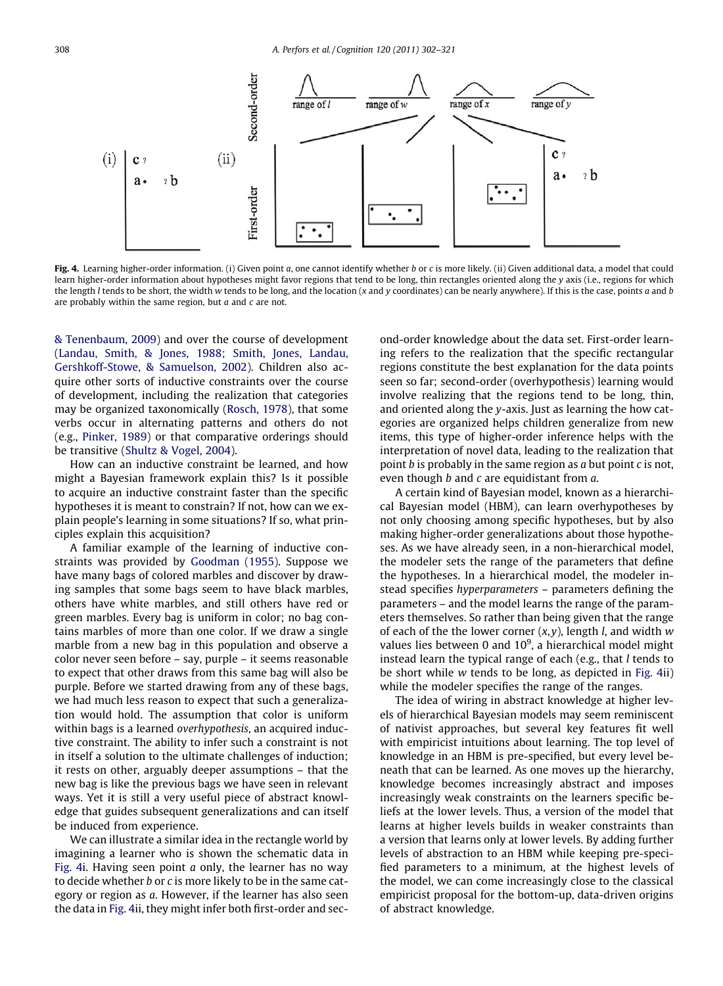

Fig. 4. Learning higher-order information. (i) Given point a, one cannot identify whether b or c is more likely. (ii) Given additional data, a model that could learn higher-order information about hypotheses might favor regions that tend to be long, thin rectangles oriented along the y axis (i.e., regions for which the length *l* tends to be short, the width w tends to be long, and the location (x and y coordinates) can be nearly anywhere). If this is the case, points a and b are probably within the same region, but  $a$  and  $c$  are not.

[& Tenenbaum, 2009\)](#page-18-0) and over the course of development [\(Landau, Smith, & Jones, 1988; Smith, Jones, Landau,](#page-18-0) [Gershkoff-Stowe, & Samuelson, 2002](#page-18-0)). Children also acquire other sorts of inductive constraints over the course of development, including the realization that categories may be organized taxonomically [\(Rosch, 1978\)](#page-19-0), that some verbs occur in alternating patterns and others do not (e.g., [Pinker, 1989\)](#page-19-0) or that comparative orderings should be transitive [\(Shultz & Vogel, 2004\)](#page-19-0).

How can an inductive constraint be learned, and how might a Bayesian framework explain this? Is it possible to acquire an inductive constraint faster than the specific hypotheses it is meant to constrain? If not, how can we explain people's learning in some situations? If so, what principles explain this acquisition?

A familiar example of the learning of inductive constraints was provided by [Goodman \(1955\).](#page-17-0) Suppose we have many bags of colored marbles and discover by drawing samples that some bags seem to have black marbles, others have white marbles, and still others have red or green marbles. Every bag is uniform in color; no bag contains marbles of more than one color. If we draw a single marble from a new bag in this population and observe a color never seen before – say, purple – it seems reasonable to expect that other draws from this same bag will also be purple. Before we started drawing from any of these bags, we had much less reason to expect that such a generalization would hold. The assumption that color is uniform within bags is a learned overhypothesis, an acquired inductive constraint. The ability to infer such a constraint is not in itself a solution to the ultimate challenges of induction; it rests on other, arguably deeper assumptions – that the new bag is like the previous bags we have seen in relevant ways. Yet it is still a very useful piece of abstract knowledge that guides subsequent generalizations and can itself be induced from experience.

We can illustrate a similar idea in the rectangle world by imagining a learner who is shown the schematic data in Fig. 4i. Having seen point  $a$  only, the learner has no way to decide whether b or c is more likely to be in the same category or region as a. However, if the learner has also seen the data in Fig. 4ii, they might infer both first-order and second-order knowledge about the data set. First-order learning refers to the realization that the specific rectangular regions constitute the best explanation for the data points seen so far; second-order (overhypothesis) learning would involve realizing that the regions tend to be long, thin, and oriented along the y-axis. Just as learning the how categories are organized helps children generalize from new items, this type of higher-order inference helps with the interpretation of novel data, leading to the realization that point  $b$  is probably in the same region as  $a$  but point  $c$  is not, even though b and c are equidistant from a.

A certain kind of Bayesian model, known as a hierarchical Bayesian model (HBM), can learn overhypotheses by not only choosing among specific hypotheses, but by also making higher-order generalizations about those hypotheses. As we have already seen, in a non-hierarchical model, the modeler sets the range of the parameters that define the hypotheses. In a hierarchical model, the modeler instead specifies hyperparameters – parameters defining the parameters – and the model learns the range of the parameters themselves. So rather than being given that the range of each of the the lower corner  $(x, y)$ , length *l*, and width w values lies between 0 and  $10<sup>9</sup>$ , a hierarchical model might instead learn the typical range of each (e.g., that *l* tends to be short while w tends to be long, as depicted in Fig. 4ii) while the modeler specifies the range of the ranges.

The idea of wiring in abstract knowledge at higher levels of hierarchical Bayesian models may seem reminiscent of nativist approaches, but several key features fit well with empiricist intuitions about learning. The top level of knowledge in an HBM is pre-specified, but every level beneath that can be learned. As one moves up the hierarchy, knowledge becomes increasingly abstract and imposes increasingly weak constraints on the learners specific beliefs at the lower levels. Thus, a version of the model that learns at higher levels builds in weaker constraints than a version that learns only at lower levels. By adding further levels of abstraction to an HBM while keeping pre-specified parameters to a minimum, at the highest levels of the model, we can come increasingly close to the classical empiricist proposal for the bottom-up, data-driven origins of abstract knowledge.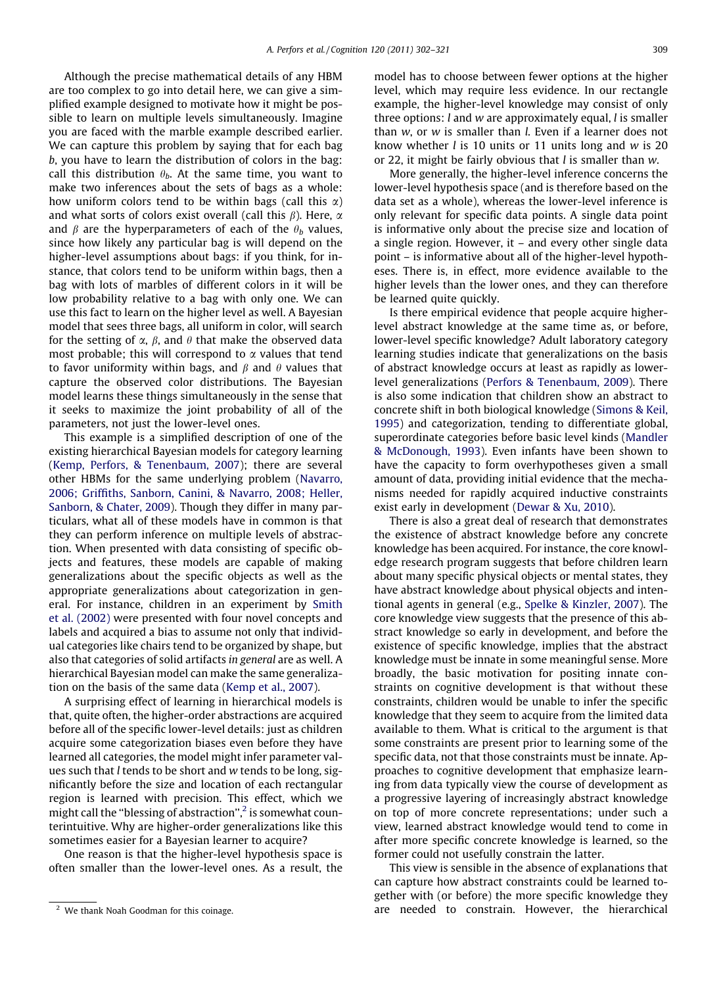Although the precise mathematical details of any HBM are too complex to go into detail here, we can give a simplified example designed to motivate how it might be possible to learn on multiple levels simultaneously. Imagine you are faced with the marble example described earlier. We can capture this problem by saying that for each bag b, you have to learn the distribution of colors in the bag: call this distribution  $\theta_h$ . At the same time, you want to make two inferences about the sets of bags as a whole: how uniform colors tend to be within bags (call this  $\alpha$ ) and what sorts of colors exist overall (call this  $\beta$ ). Here,  $\alpha$ and  $\beta$  are the hyperparameters of each of the  $\theta_h$  values, since how likely any particular bag is will depend on the higher-level assumptions about bags: if you think, for instance, that colors tend to be uniform within bags, then a bag with lots of marbles of different colors in it will be low probability relative to a bag with only one. We can use this fact to learn on the higher level as well. A Bayesian model that sees three bags, all uniform in color, will search for the setting of  $\alpha$ ,  $\beta$ , and  $\theta$  that make the observed data most probable; this will correspond to  $\alpha$  values that tend to favor uniformity within bags, and  $\beta$  and  $\theta$  values that capture the observed color distributions. The Bayesian model learns these things simultaneously in the sense that it seeks to maximize the joint probability of all of the parameters, not just the lower-level ones.

This example is a simplified description of one of the existing hierarchical Bayesian models for category learning ([Kemp, Perfors, & Tenenbaum, 2007\)](#page-18-0); there are several other HBMs for the same underlying problem ([Navarro,](#page-18-0) [2006; Griffiths, Sanborn, Canini, & Navarro, 2008; Heller,](#page-18-0) [Sanborn, & Chater, 2009](#page-18-0)). Though they differ in many particulars, what all of these models have in common is that they can perform inference on multiple levels of abstraction. When presented with data consisting of specific objects and features, these models are capable of making generalizations about the specific objects as well as the appropriate generalizations about categorization in general. For instance, children in an experiment by [Smith](#page-19-0) [et al. \(2002\)](#page-19-0) were presented with four novel concepts and labels and acquired a bias to assume not only that individual categories like chairs tend to be organized by shape, but also that categories of solid artifacts in general are as well. A hierarchical Bayesian model can make the same generalization on the basis of the same data [\(Kemp et al., 2007](#page-18-0)).

A surprising effect of learning in hierarchical models is that, quite often, the higher-order abstractions are acquired before all of the specific lower-level details: just as children acquire some categorization biases even before they have learned all categories, the model might infer parameter values such that l tends to be short and w tends to be long, significantly before the size and location of each rectangular region is learned with precision. This effect, which we might call the "blessing of abstraction",<sup>2</sup> is somewhat counterintuitive. Why are higher-order generalizations like this sometimes easier for a Bayesian learner to acquire?

One reason is that the higher-level hypothesis space is often smaller than the lower-level ones. As a result, the model has to choose between fewer options at the higher level, which may require less evidence. In our rectangle example, the higher-level knowledge may consist of only three options:  $l$  and  $w$  are approximately equal,  $l$  is smaller than w, or w is smaller than l. Even if a learner does not know whether  $l$  is 10 units or 11 units long and  $w$  is 20 or 22, it might be fairly obvious that  $l$  is smaller than  $w$ .

More generally, the higher-level inference concerns the lower-level hypothesis space (and is therefore based on the data set as a whole), whereas the lower-level inference is only relevant for specific data points. A single data point is informative only about the precise size and location of a single region. However, it – and every other single data point – is informative about all of the higher-level hypotheses. There is, in effect, more evidence available to the higher levels than the lower ones, and they can therefore be learned quite quickly.

Is there empirical evidence that people acquire higherlevel abstract knowledge at the same time as, or before, lower-level specific knowledge? Adult laboratory category learning studies indicate that generalizations on the basis of abstract knowledge occurs at least as rapidly as lowerlevel generalizations ([Perfors & Tenenbaum, 2009\)](#page-18-0). There is also some indication that children show an abstract to concrete shift in both biological knowledge [\(Simons & Keil,](#page-19-0) [1995\)](#page-19-0) and categorization, tending to differentiate global, superordinate categories before basic level kinds [\(Mandler](#page-18-0) [& McDonough, 1993](#page-18-0)). Even infants have been shown to have the capacity to form overhypotheses given a small amount of data, providing initial evidence that the mechanisms needed for rapidly acquired inductive constraints exist early in development [\(Dewar & Xu, 2010\)](#page-17-0).

There is also a great deal of research that demonstrates the existence of abstract knowledge before any concrete knowledge has been acquired. For instance, the core knowledge research program suggests that before children learn about many specific physical objects or mental states, they have abstract knowledge about physical objects and intentional agents in general (e.g., [Spelke & Kinzler, 2007\)](#page-19-0). The core knowledge view suggests that the presence of this abstract knowledge so early in development, and before the existence of specific knowledge, implies that the abstract knowledge must be innate in some meaningful sense. More broadly, the basic motivation for positing innate constraints on cognitive development is that without these constraints, children would be unable to infer the specific knowledge that they seem to acquire from the limited data available to them. What is critical to the argument is that some constraints are present prior to learning some of the specific data, not that those constraints must be innate. Approaches to cognitive development that emphasize learning from data typically view the course of development as a progressive layering of increasingly abstract knowledge on top of more concrete representations; under such a view, learned abstract knowledge would tend to come in after more specific concrete knowledge is learned, so the former could not usefully constrain the latter.

This view is sensible in the absence of explanations that can capture how abstract constraints could be learned together with (or before) the more specific knowledge they <sup>2</sup> We thank Noah Goodman for this coinage. The same are needed to constrain. However, the hierarchical and  $\overline{a}$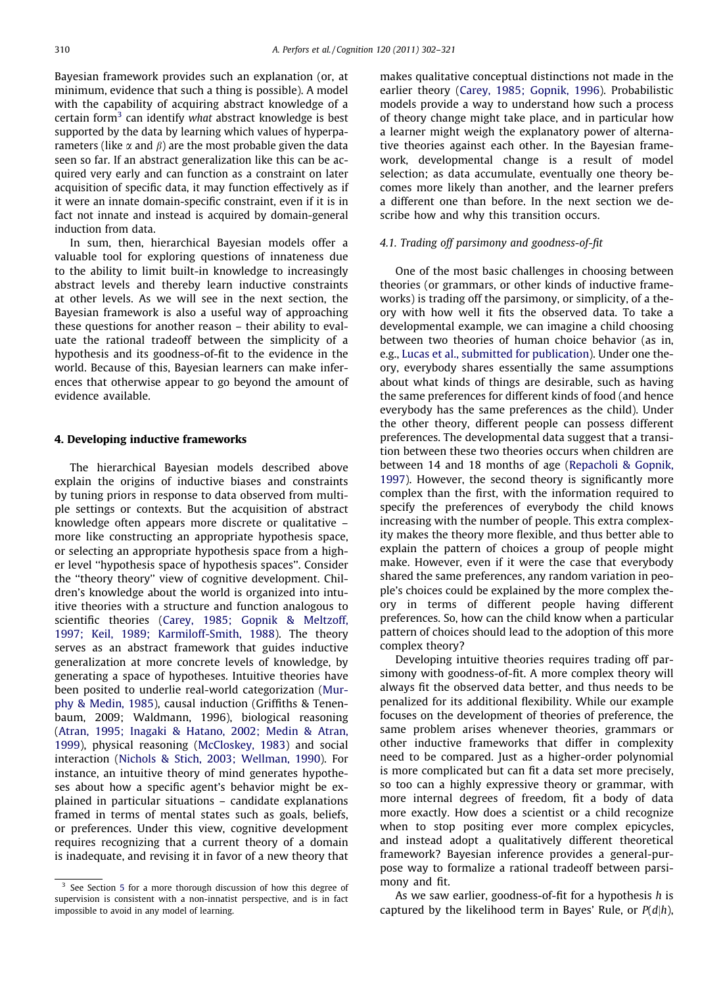Bayesian framework provides such an explanation (or, at minimum, evidence that such a thing is possible). A model with the capability of acquiring abstract knowledge of a certain form<sup>3</sup> can identify what abstract knowledge is best supported by the data by learning which values of hyperparameters (like  $\alpha$  and  $\beta$ ) are the most probable given the data seen so far. If an abstract generalization like this can be acquired very early and can function as a constraint on later acquisition of specific data, it may function effectively as if it were an innate domain-specific constraint, even if it is in fact not innate and instead is acquired by domain-general induction from data.

In sum, then, hierarchical Bayesian models offer a valuable tool for exploring questions of innateness due to the ability to limit built-in knowledge to increasingly abstract levels and thereby learn inductive constraints at other levels. As we will see in the next section, the Bayesian framework is also a useful way of approaching these questions for another reason – their ability to evaluate the rational tradeoff between the simplicity of a hypothesis and its goodness-of-fit to the evidence in the world. Because of this, Bayesian learners can make inferences that otherwise appear to go beyond the amount of evidence available.

### 4. Developing inductive frameworks

The hierarchical Bayesian models described above explain the origins of inductive biases and constraints by tuning priors in response to data observed from multiple settings or contexts. But the acquisition of abstract knowledge often appears more discrete or qualitative – more like constructing an appropriate hypothesis space, or selecting an appropriate hypothesis space from a higher level ''hypothesis space of hypothesis spaces''. Consider the ''theory theory'' view of cognitive development. Children's knowledge about the world is organized into intuitive theories with a structure and function analogous to scientific theories ([Carey, 1985; Gopnik & Meltzoff,](#page-17-0) [1997; Keil, 1989; Karmiloff-Smith, 1988](#page-17-0)). The theory serves as an abstract framework that guides inductive generalization at more concrete levels of knowledge, by generating a space of hypotheses. Intuitive theories have been posited to underlie real-world categorization [\(Mur](#page-18-0)[phy & Medin, 1985\)](#page-18-0), causal induction (Griffiths & Tenenbaum, 2009; Waldmann, 1996), biological reasoning [\(Atran, 1995; Inagaki & Hatano, 2002; Medin & Atran,](#page-17-0) [1999](#page-17-0)), physical reasoning [\(McCloskey, 1983](#page-18-0)) and social interaction ([Nichols & Stich, 2003; Wellman, 1990](#page-18-0)). For instance, an intuitive theory of mind generates hypotheses about how a specific agent's behavior might be explained in particular situations – candidate explanations framed in terms of mental states such as goals, beliefs, or preferences. Under this view, cognitive development requires recognizing that a current theory of a domain is inadequate, and revising it in favor of a new theory that

makes qualitative conceptual distinctions not made in the earlier theory [\(Carey, 1985; Gopnik, 1996\)](#page-17-0). Probabilistic models provide a way to understand how such a process of theory change might take place, and in particular how a learner might weigh the explanatory power of alternative theories against each other. In the Bayesian framework, developmental change is a result of model selection; as data accumulate, eventually one theory becomes more likely than another, and the learner prefers a different one than before. In the next section we describe how and why this transition occurs.

## 4.1. Trading off parsimony and goodness-of-fit

One of the most basic challenges in choosing between theories (or grammars, or other kinds of inductive frameworks) is trading off the parsimony, or simplicity, of a theory with how well it fits the observed data. To take a developmental example, we can imagine a child choosing between two theories of human choice behavior (as in, e.g., [Lucas et al., submitted for publication\)](#page-18-0). Under one theory, everybody shares essentially the same assumptions about what kinds of things are desirable, such as having the same preferences for different kinds of food (and hence everybody has the same preferences as the child). Under the other theory, different people can possess different preferences. The developmental data suggest that a transition between these two theories occurs when children are between 14 and 18 months of age ([Repacholi & Gopnik,](#page-19-0) [1997](#page-19-0)). However, the second theory is significantly more complex than the first, with the information required to specify the preferences of everybody the child knows increasing with the number of people. This extra complexity makes the theory more flexible, and thus better able to explain the pattern of choices a group of people might make. However, even if it were the case that everybody shared the same preferences, any random variation in people's choices could be explained by the more complex theory in terms of different people having different preferences. So, how can the child know when a particular pattern of choices should lead to the adoption of this more complex theory?

Developing intuitive theories requires trading off parsimony with goodness-of-fit. A more complex theory will always fit the observed data better, and thus needs to be penalized for its additional flexibility. While our example focuses on the development of theories of preference, the same problem arises whenever theories, grammars or other inductive frameworks that differ in complexity need to be compared. Just as a higher-order polynomial is more complicated but can fit a data set more precisely, so too can a highly expressive theory or grammar, with more internal degrees of freedom, fit a body of data more exactly. How does a scientist or a child recognize when to stop positing ever more complex epicycles, and instead adopt a qualitatively different theoretical framework? Bayesian inference provides a general-purpose way to formalize a rational tradeoff between parsimony and fit.

As we saw earlier, goodness-of-fit for a hypothesis h is captured by the likelihood term in Bayes' Rule, or  $P(d|h)$ ,

<sup>&</sup>lt;sup>3</sup> See Section 5 for a more thorough discussion of how this degree of supervision is consistent with a non-innatist perspective, and is in fact impossible to avoid in any model of learning.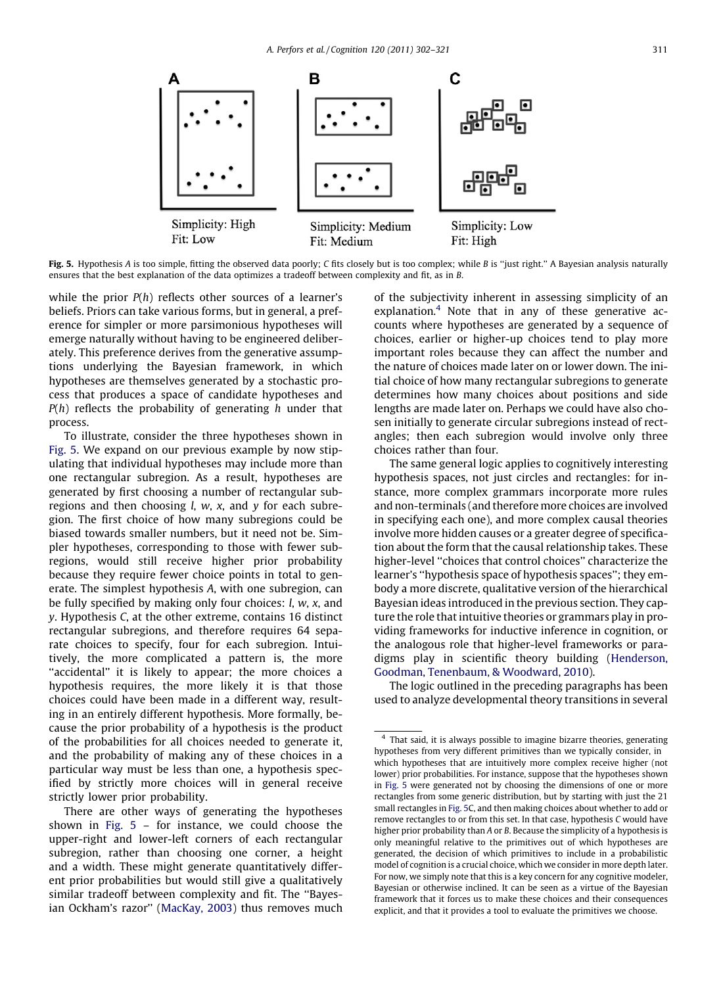<span id="page-9-0"></span>

Fig. 5. Hypothesis A is too simple, fitting the observed data poorly; C fits closely but is too complex; while B is "just right." A Bayesian analysis naturally ensures that the best explanation of the data optimizes a tradeoff between complexity and fit, as in B.

while the prior  $P(h)$  reflects other sources of a learner's beliefs. Priors can take various forms, but in general, a preference for simpler or more parsimonious hypotheses will emerge naturally without having to be engineered deliberately. This preference derives from the generative assumptions underlying the Bayesian framework, in which hypotheses are themselves generated by a stochastic process that produces a space of candidate hypotheses and  $P(h)$  reflects the probability of generating h under that process.

To illustrate, consider the three hypotheses shown in Fig. 5. We expand on our previous example by now stipulating that individual hypotheses may include more than one rectangular subregion. As a result, hypotheses are generated by first choosing a number of rectangular subregions and then choosing *l*, *w*, *x*, and *y* for each subregion. The first choice of how many subregions could be biased towards smaller numbers, but it need not be. Simpler hypotheses, corresponding to those with fewer subregions, would still receive higher prior probability because they require fewer choice points in total to generate. The simplest hypothesis A, with one subregion, can be fully specified by making only four choices: l, w, x, and y. Hypothesis C, at the other extreme, contains 16 distinct rectangular subregions, and therefore requires 64 separate choices to specify, four for each subregion. Intuitively, the more complicated a pattern is, the more "accidental" it is likely to appear; the more choices a hypothesis requires, the more likely it is that those choices could have been made in a different way, resulting in an entirely different hypothesis. More formally, because the prior probability of a hypothesis is the product of the probabilities for all choices needed to generate it, and the probability of making any of these choices in a particular way must be less than one, a hypothesis specified by strictly more choices will in general receive strictly lower prior probability.

There are other ways of generating the hypotheses shown in Fig. 5 – for instance, we could choose the upper-right and lower-left corners of each rectangular subregion, rather than choosing one corner, a height and a width. These might generate quantitatively different prior probabilities but would still give a qualitatively similar tradeoff between complexity and fit. The ''Bayesian Ockham's razor'' [\(MacKay, 2003](#page-18-0)) thus removes much of the subjectivity inherent in assessing simplicity of an explanation.<sup>4</sup> Note that in any of these generative accounts where hypotheses are generated by a sequence of choices, earlier or higher-up choices tend to play more important roles because they can affect the number and the nature of choices made later on or lower down. The initial choice of how many rectangular subregions to generate determines how many choices about positions and side lengths are made later on. Perhaps we could have also chosen initially to generate circular subregions instead of rectangles; then each subregion would involve only three choices rather than four.

The same general logic applies to cognitively interesting hypothesis spaces, not just circles and rectangles: for instance, more complex grammars incorporate more rules and non-terminals (and therefore more choices are involved in specifying each one), and more complex causal theories involve more hidden causes or a greater degree of specification about the form that the causal relationship takes. These higher-level ''choices that control choices'' characterize the learner's ''hypothesis space of hypothesis spaces''; they embody a more discrete, qualitative version of the hierarchical Bayesian ideas introduced in the previous section. They capture the role that intuitive theories or grammars play in providing frameworks for inductive inference in cognition, or the analogous role that higher-level frameworks or paradigms play in scientific theory building [\(Henderson,](#page-18-0) [Goodman, Tenenbaum, & Woodward, 2010](#page-18-0)).

The logic outlined in the preceding paragraphs has been used to analyze developmental theory transitions in several

<sup>&</sup>lt;sup>4</sup> That said, it is always possible to imagine bizarre theories, generating hypotheses from very different primitives than we typically consider, in which hypotheses that are intuitively more complex receive higher (not lower) prior probabilities. For instance, suppose that the hypotheses shown in Fig. 5 were generated not by choosing the dimensions of one or more rectangles from some generic distribution, but by starting with just the 21 small rectangles in Fig. 5C, and then making choices about whether to add or remove rectangles to or from this set. In that case, hypothesis C would have higher prior probability than A or B. Because the simplicity of a hypothesis is only meaningful relative to the primitives out of which hypotheses are generated, the decision of which primitives to include in a probabilistic model of cognition is a crucial choice, which we consider in more depth later. For now, we simply note that this is a key concern for any cognitive modeler, Bayesian or otherwise inclined. It can be seen as a virtue of the Bayesian framework that it forces us to make these choices and their consequences explicit, and that it provides a tool to evaluate the primitives we choose.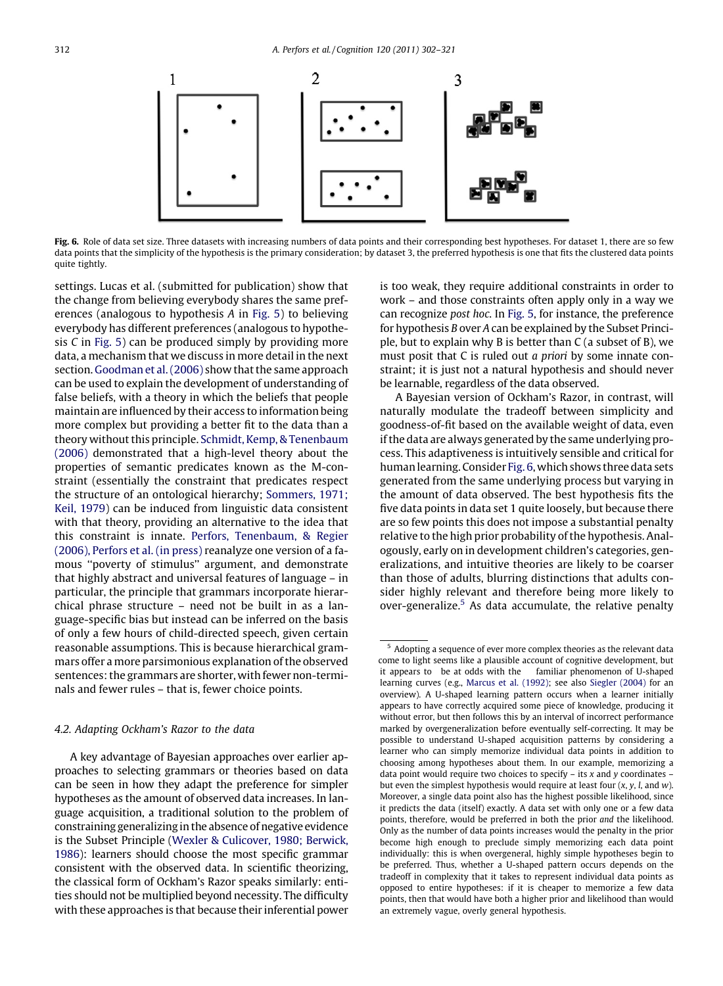<span id="page-10-0"></span>

Fig. 6. Role of data set size. Three datasets with increasing numbers of data points and their corresponding best hypotheses. For dataset 1, there are so few data points that the simplicity of the hypothesis is the primary consideration; by dataset 3, the preferred hypothesis is one that fits the clustered data points quite tightly.

settings. Lucas et al. (submitted for publication) show that the change from believing everybody shares the same preferences (analogous to hypothesis A in [Fig. 5](#page-9-0)) to believing everybody has different preferences (analogous to hypothesis C in [Fig. 5\)](#page-9-0) can be produced simply by providing more data, a mechanism that we discuss in more detail in the next section. [Goodman et al. \(2006\)](#page-17-0) show that the same approach can be used to explain the development of understanding of false beliefs, with a theory in which the beliefs that people maintain are influenced by their access to information being more complex but providing a better fit to the data than a theory without this principle. [Schmidt, Kemp, & Tenenbaum](#page-19-0) [\(2006\)](#page-19-0) demonstrated that a high-level theory about the properties of semantic predicates known as the M-constraint (essentially the constraint that predicates respect the structure of an ontological hierarchy; [Sommers, 1971;](#page-19-0) [Keil, 1979](#page-19-0)) can be induced from linguistic data consistent with that theory, providing an alternative to the idea that this constraint is innate. [Perfors, Tenenbaum, & Regier](#page-18-0) [\(2006\), Perfors et al. \(in press\)](#page-18-0) reanalyze one version of a famous ''poverty of stimulus'' argument, and demonstrate that highly abstract and universal features of language – in particular, the principle that grammars incorporate hierarchical phrase structure – need not be built in as a language-specific bias but instead can be inferred on the basis of only a few hours of child-directed speech, given certain reasonable assumptions. This is because hierarchical grammars offer a more parsimonious explanation of the observed sentences: the grammars are shorter, with fewer non-terminals and fewer rules – that is, fewer choice points.

#### 4.2. Adapting Ockham's Razor to the data

A key advantage of Bayesian approaches over earlier approaches to selecting grammars or theories based on data can be seen in how they adapt the preference for simpler hypotheses as the amount of observed data increases. In language acquisition, a traditional solution to the problem of constraining generalizing in the absence of negative evidence is the Subset Principle ([Wexler & Culicover, 1980; Berwick,](#page-19-0) [1986\)](#page-19-0): learners should choose the most specific grammar consistent with the observed data. In scientific theorizing, the classical form of Ockham's Razor speaks similarly: entities should not be multiplied beyond necessity. The difficulty with these approaches is that because their inferential power

is too weak, they require additional constraints in order to work – and those constraints often apply only in a way we can recognize post hoc. In [Fig. 5](#page-9-0), for instance, the preference for hypothesis B over A can be explained by the Subset Principle, but to explain why B is better than C (a subset of B), we must posit that  $C$  is ruled out  $a$  priori by some innate constraint; it is just not a natural hypothesis and should never be learnable, regardless of the data observed.

A Bayesian version of Ockham's Razor, in contrast, will naturally modulate the tradeoff between simplicity and goodness-of-fit based on the available weight of data, even if the data are always generated by the same underlying process. This adaptiveness is intuitively sensible and critical for human learning. Consider Fig. 6, which shows three data sets generated from the same underlying process but varying in the amount of data observed. The best hypothesis fits the five data points in data set 1 quite loosely, but because there are so few points this does not impose a substantial penalty relative to the high prior probability of the hypothesis. Analogously, early on in development children's categories, generalizations, and intuitive theories are likely to be coarser than those of adults, blurring distinctions that adults consider highly relevant and therefore being more likely to over-generalize. $5$  As data accumulate, the relative penalty

<sup>5</sup> Adopting a sequence of ever more complex theories as the relevant data come to light seems like a plausible account of cognitive development, but it appears to be at odds with the familiar phenomenon of U-shaped learning curves (e.g., [Marcus et al. \(1992\)](#page-18-0); see also [Siegler \(2004\)](#page-19-0) for an overview). A U-shaped learning pattern occurs when a learner initially appears to have correctly acquired some piece of knowledge, producing it without error, but then follows this by an interval of incorrect performance marked by overgeneralization before eventually self-correcting. It may be possible to understand U-shaped acquisition patterns by considering a learner who can simply memorize individual data points in addition to choosing among hypotheses about them. In our example, memorizing a data point would require two choices to specify  $-$  its  $x$  and  $y$  coordinates  $$ but even the simplest hypothesis would require at least four  $(x, y, l, \text{and } w)$ . Moreover, a single data point also has the highest possible likelihood, since it predicts the data (itself) exactly. A data set with only one or a few data points, therefore, would be preferred in both the prior and the likelihood. Only as the number of data points increases would the penalty in the prior become high enough to preclude simply memorizing each data point individually: this is when overgeneral, highly simple hypotheses begin to be preferred. Thus, whether a U-shaped pattern occurs depends on the tradeoff in complexity that it takes to represent individual data points as opposed to entire hypotheses: if it is cheaper to memorize a few data points, then that would have both a higher prior and likelihood than would an extremely vague, overly general hypothesis.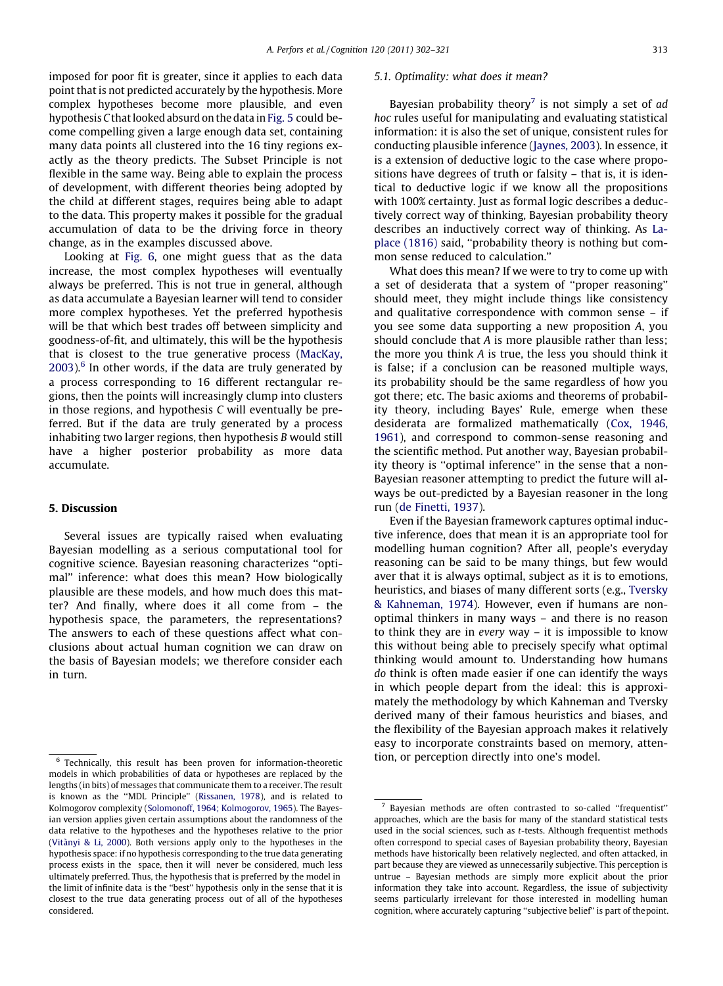imposed for poor fit is greater, since it applies to each data point that is not predicted accurately by the hypothesis. More complex hypotheses become more plausible, and even hypothesis C that looked absurd on the data in [Fig. 5](#page-9-0) could become compelling given a large enough data set, containing many data points all clustered into the 16 tiny regions exactly as the theory predicts. The Subset Principle is not flexible in the same way. Being able to explain the process of development, with different theories being adopted by the child at different stages, requires being able to adapt to the data. This property makes it possible for the gradual accumulation of data to be the driving force in theory change, as in the examples discussed above.

Looking at [Fig. 6](#page-10-0), one might guess that as the data increase, the most complex hypotheses will eventually always be preferred. This is not true in general, although as data accumulate a Bayesian learner will tend to consider more complex hypotheses. Yet the preferred hypothesis will be that which best trades off between simplicity and goodness-of-fit, and ultimately, this will be the hypothesis that is closest to the true generative process [\(MacKay,](#page-18-0)  $2003$ ).<sup>6</sup> In other words, if the data are truly generated by a process corresponding to 16 different rectangular regions, then the points will increasingly clump into clusters in those regions, and hypothesis C will eventually be preferred. But if the data are truly generated by a process inhabiting two larger regions, then hypothesis B would still have a higher posterior probability as more data accumulate.

#### 5. Discussion

Several issues are typically raised when evaluating Bayesian modelling as a serious computational tool for cognitive science. Bayesian reasoning characterizes ''optimal'' inference: what does this mean? How biologically plausible are these models, and how much does this matter? And finally, where does it all come from – the hypothesis space, the parameters, the representations? The answers to each of these questions affect what conclusions about actual human cognition we can draw on the basis of Bayesian models; we therefore consider each in turn.

# 5.1. Optimality: what does it mean?

Bayesian probability theory<sup>7</sup> is not simply a set of ad hoc rules useful for manipulating and evaluating statistical information: it is also the set of unique, consistent rules for conducting plausible inference ([Jaynes, 2003\)](#page-18-0). In essence, it is a extension of deductive logic to the case where propositions have degrees of truth or falsity – that is, it is identical to deductive logic if we know all the propositions with 100% certainty. Just as formal logic describes a deductively correct way of thinking, Bayesian probability theory describes an inductively correct way of thinking. As [La](#page-18-0)[place \(1816\)](#page-18-0) said, ''probability theory is nothing but common sense reduced to calculation.''

What does this mean? If we were to try to come up with a set of desiderata that a system of ''proper reasoning'' should meet, they might include things like consistency and qualitative correspondence with common sense – if you see some data supporting a new proposition A, you should conclude that A is more plausible rather than less; the more you think A is true, the less you should think it is false; if a conclusion can be reasoned multiple ways, its probability should be the same regardless of how you got there; etc. The basic axioms and theorems of probability theory, including Bayes' Rule, emerge when these desiderata are formalized mathematically [\(Cox, 1946,](#page-17-0) [1961\)](#page-17-0), and correspond to common-sense reasoning and the scientific method. Put another way, Bayesian probability theory is ''optimal inference'' in the sense that a non-Bayesian reasoner attempting to predict the future will always be out-predicted by a Bayesian reasoner in the long run ([de Finetti, 1937\)](#page-17-0).

Even if the Bayesian framework captures optimal inductive inference, does that mean it is an appropriate tool for modelling human cognition? After all, people's everyday reasoning can be said to be many things, but few would aver that it is always optimal, subject as it is to emotions, heuristics, and biases of many different sorts (e.g., [Tversky](#page-19-0) [& Kahneman, 1974\)](#page-19-0). However, even if humans are nonoptimal thinkers in many ways – and there is no reason to think they are in every way – it is impossible to know this without being able to precisely specify what optimal thinking would amount to. Understanding how humans do think is often made easier if one can identify the ways in which people depart from the ideal: this is approximately the methodology by which Kahneman and Tversky derived many of their famous heuristics and biases, and the flexibility of the Bayesian approach makes it relatively easy to incorporate constraints based on memory, atten- $\frac{6}{6}$  Technically, this result has been proven for information-theoretic tion, or perception directly into one's model.

models in which probabilities of data or hypotheses are replaced by the lengths (in bits) of messages that communicate them to a receiver. The result is known as the ''MDL Principle'' ([Rissanen, 1978](#page-19-0)), and is related to Kolmogorov complexity [\(Solomonoff, 1964; Kolmogorov, 1965\)](#page-19-0). The Bayesian version applies given certain assumptions about the randomness of the data relative to the hypotheses and the hypotheses relative to the prior [\(Vitànyi & Li, 2000](#page-19-0)). Both versions apply only to the hypotheses in the hypothesis space: if no hypothesis corresponding to the true data generating process exists in the space, then it will never be considered, much less ultimately preferred. Thus, the hypothesis that is preferred by the model in the limit of infinite data is the ''best'' hypothesis only in the sense that it is closest to the true data generating process out of all of the hypotheses considered.

<sup>7</sup> Bayesian methods are often contrasted to so-called ''frequentist'' approaches, which are the basis for many of the standard statistical tests used in the social sciences, such as t-tests. Although frequentist methods often correspond to special cases of Bayesian probability theory, Bayesian methods have historically been relatively neglected, and often attacked, in part because they are viewed as unnecessarily subjective. This perception is untrue – Bayesian methods are simply more explicit about the prior information they take into account. Regardless, the issue of subjectivity seems particularly irrelevant for those interested in modelling human cognition, where accurately capturing ''subjective belief'' is part of thepoint.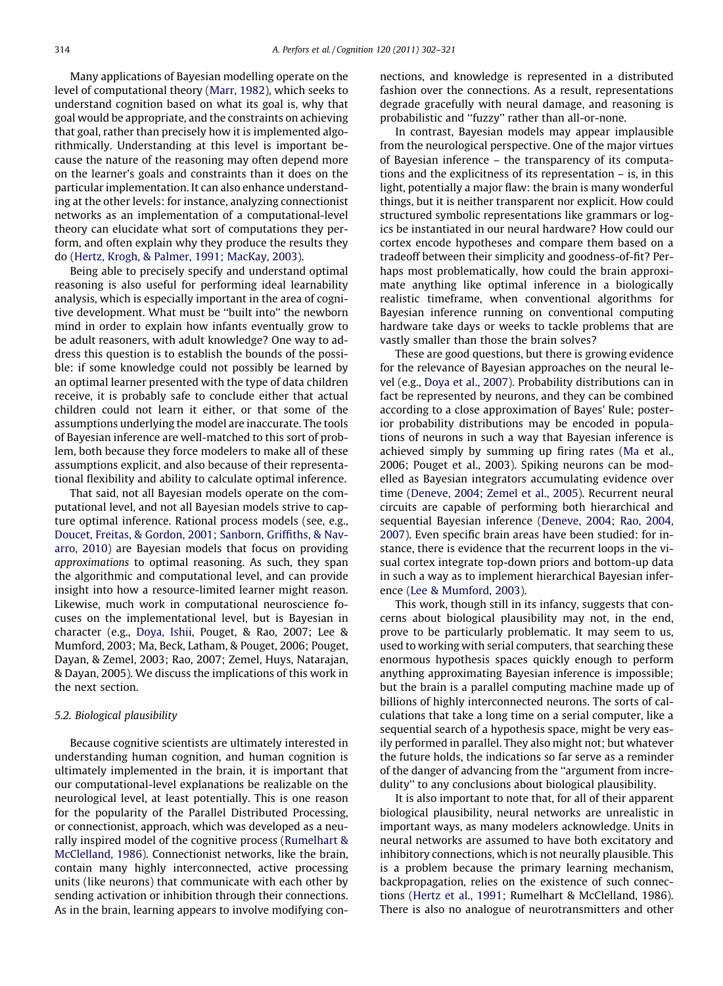Many applications of Bayesian modelling operate on the level of computational theory ([Marr, 1982\)](#page-18-0), which seeks to understand cognition based on what its goal is, why that goal would be appropriate, and the constraints on achieving that goal, rather than precisely how it is implemented algorithmically. Understanding at this level is important because the nature of the reasoning may often depend more on the learner's goals and constraints than it does on the particular implementation. It can also enhance understanding at the other levels: for instance, analyzing connectionist networks as an implementation of a computational-level theory can elucidate what sort of computations they perform, and often explain why they produce the results they do [\(Hertz, Krogh, & Palmer, 1991; MacKay, 2003](#page-18-0)).

Being able to precisely specify and understand optimal reasoning is also useful for performing ideal learnability analysis, which is especially important in the area of cognitive development. What must be ''built into'' the newborn mind in order to explain how infants eventually grow to be adult reasoners, with adult knowledge? One way to address this question is to establish the bounds of the possible: if some knowledge could not possibly be learned by an optimal learner presented with the type of data children receive, it is probably safe to conclude either that actual children could not learn it either, or that some of the assumptions underlying the model are inaccurate. The tools of Bayesian inference are well-matched to this sort of problem, both because they force modelers to make all of these assumptions explicit, and also because of their representational flexibility and ability to calculate optimal inference.

That said, not all Bayesian models operate on the computational level, and not all Bayesian models strive to capture optimal inference. Rational process models (see, e.g., [Doucet, Freitas, & Gordon, 2001; Sanborn, Griffiths, & Nav](#page-17-0)[arro, 2010\)](#page-17-0) are Bayesian models that focus on providing approximations to optimal reasoning. As such, they span the algorithmic and computational level, and can provide insight into how a resource-limited learner might reason. Likewise, much work in computational neuroscience focuses on the implementational level, but is Bayesian in character (e.g., [Doya, Ishii,](#page-17-0) Pouget, & Rao, 2007; Lee & Mumford, 2003; Ma, Beck, Latham, & Pouget, 2006; Pouget, Dayan, & Zemel, 2003; Rao, 2007; Zemel, Huys, Natarajan, & Dayan, 2005). We discuss the implications of this work in the next section.

#### 5.2. Biological plausibility

Because cognitive scientists are ultimately interested in understanding human cognition, and human cognition is ultimately implemented in the brain, it is important that our computational-level explanations be realizable on the neurological level, at least potentially. This is one reason for the popularity of the Parallel Distributed Processing, or connectionist, approach, which was developed as a neurally inspired model of the cognitive process [\(Rumelhart &](#page-19-0) [McClelland, 1986](#page-19-0)). Connectionist networks, like the brain, contain many highly interconnected, active processing units (like neurons) that communicate with each other by sending activation or inhibition through their connections. As in the brain, learning appears to involve modifying connections, and knowledge is represented in a distributed fashion over the connections. As a result, representations degrade gracefully with neural damage, and reasoning is probabilistic and ''fuzzy'' rather than all-or-none.

In contrast, Bayesian models may appear implausible from the neurological perspective. One of the major virtues of Bayesian inference – the transparency of its computations and the explicitness of its representation – is, in this light, potentially a major flaw: the brain is many wonderful things, but it is neither transparent nor explicit. How could structured symbolic representations like grammars or logics be instantiated in our neural hardware? How could our cortex encode hypotheses and compare them based on a tradeoff between their simplicity and goodness-of-fit? Perhaps most problematically, how could the brain approximate anything like optimal inference in a biologically realistic timeframe, when conventional algorithms for Bayesian inference running on conventional computing hardware take days or weeks to tackle problems that are vastly smaller than those the brain solves?

These are good questions, but there is growing evidence for the relevance of Bayesian approaches on the neural level (e.g., [Doya et al., 2007\)](#page-17-0). Probability distributions can in fact be represented by neurons, and they can be combined according to a close approximation of Bayes' Rule; posterior probability distributions may be encoded in populations of neurons in such a way that Bayesian inference is achieved simply by summing up firing rates ([Ma](#page-18-0) et al., 2006; Pouget et al., 2003). Spiking neurons can be modelled as Bayesian integrators accumulating evidence over time ([Deneve, 2004; Zemel et al., 2005\)](#page-17-0). Recurrent neural circuits are capable of performing both hierarchical and sequential Bayesian inference ([Deneve, 2004; Rao, 2004,](#page-17-0) [2007](#page-17-0)). Even specific brain areas have been studied: for instance, there is evidence that the recurrent loops in the visual cortex integrate top-down priors and bottom-up data in such a way as to implement hierarchical Bayesian inference [\(Lee & Mumford, 2003\)](#page-18-0).

This work, though still in its infancy, suggests that concerns about biological plausibility may not, in the end, prove to be particularly problematic. It may seem to us, used to working with serial computers, that searching these enormous hypothesis spaces quickly enough to perform anything approximating Bayesian inference is impossible; but the brain is a parallel computing machine made up of billions of highly interconnected neurons. The sorts of calculations that take a long time on a serial computer, like a sequential search of a hypothesis space, might be very easily performed in parallel. They also might not; but whatever the future holds, the indications so far serve as a reminder of the danger of advancing from the ''argument from incredulity'' to any conclusions about biological plausibility.

It is also important to note that, for all of their apparent biological plausibility, neural networks are unrealistic in important ways, as many modelers acknowledge. Units in neural networks are assumed to have both excitatory and inhibitory connections, which is not neurally plausible. This is a problem because the primary learning mechanism, backpropagation, relies on the existence of such connections [\(Hertz et al., 1991;](#page-18-0) Rumelhart & McClelland, 1986). There is also no analogue of neurotransmitters and other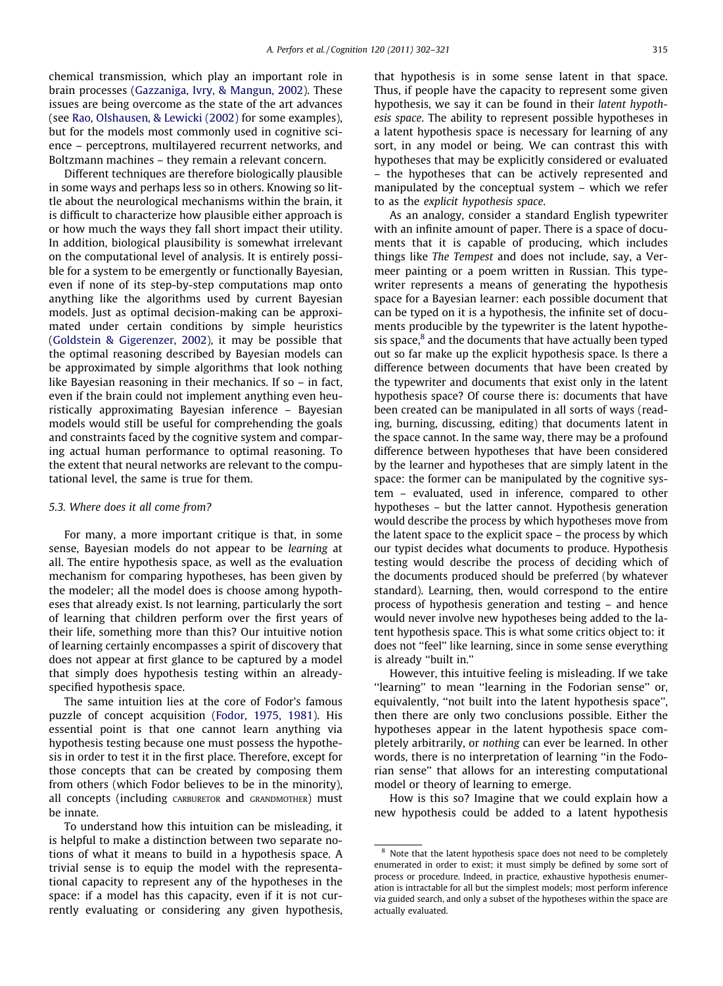chemical transmission, which play an important role in brain processes ([Gazzaniga, Ivry, & Mangun, 2002](#page-17-0)). These issues are being overcome as the state of the art advances (see [Rao, Olshausen, & Lewicki \(2002\)](#page-19-0) for some examples), but for the models most commonly used in cognitive science – perceptrons, multilayered recurrent networks, and Boltzmann machines – they remain a relevant concern.

Different techniques are therefore biologically plausible in some ways and perhaps less so in others. Knowing so little about the neurological mechanisms within the brain, it is difficult to characterize how plausible either approach is or how much the ways they fall short impact their utility. In addition, biological plausibility is somewhat irrelevant on the computational level of analysis. It is entirely possible for a system to be emergently or functionally Bayesian, even if none of its step-by-step computations map onto anything like the algorithms used by current Bayesian models. Just as optimal decision-making can be approximated under certain conditions by simple heuristics ([Goldstein & Gigerenzer, 2002\)](#page-17-0), it may be possible that the optimal reasoning described by Bayesian models can be approximated by simple algorithms that look nothing like Bayesian reasoning in their mechanics. If so – in fact, even if the brain could not implement anything even heuristically approximating Bayesian inference – Bayesian models would still be useful for comprehending the goals and constraints faced by the cognitive system and comparing actual human performance to optimal reasoning. To the extent that neural networks are relevant to the computational level, the same is true for them.

### 5.3. Where does it all come from?

For many, a more important critique is that, in some sense, Bayesian models do not appear to be learning at all. The entire hypothesis space, as well as the evaluation mechanism for comparing hypotheses, has been given by the modeler; all the model does is choose among hypotheses that already exist. Is not learning, particularly the sort of learning that children perform over the first years of their life, something more than this? Our intuitive notion of learning certainly encompasses a spirit of discovery that does not appear at first glance to be captured by a model that simply does hypothesis testing within an alreadyspecified hypothesis space.

The same intuition lies at the core of Fodor's famous puzzle of concept acquisition ([Fodor, 1975, 1981\)](#page-17-0). His essential point is that one cannot learn anything via hypothesis testing because one must possess the hypothesis in order to test it in the first place. Therefore, except for those concepts that can be created by composing them from others (which Fodor believes to be in the minority), all concepts (including CARBURETOR and GRANDMOTHER) must be innate.

To understand how this intuition can be misleading, it is helpful to make a distinction between two separate notions of what it means to build in a hypothesis space. A trivial sense is to equip the model with the representational capacity to represent any of the hypotheses in the space: if a model has this capacity, even if it is not currently evaluating or considering any given hypothesis, that hypothesis is in some sense latent in that space. Thus, if people have the capacity to represent some given hypothesis, we say it can be found in their latent hypothesis space. The ability to represent possible hypotheses in a latent hypothesis space is necessary for learning of any sort, in any model or being. We can contrast this with hypotheses that may be explicitly considered or evaluated – the hypotheses that can be actively represented and manipulated by the conceptual system – which we refer to as the explicit hypothesis space.

As an analogy, consider a standard English typewriter with an infinite amount of paper. There is a space of documents that it is capable of producing, which includes things like The Tempest and does not include, say, a Vermeer painting or a poem written in Russian. This typewriter represents a means of generating the hypothesis space for a Bayesian learner: each possible document that can be typed on it is a hypothesis, the infinite set of documents producible by the typewriter is the latent hypothesis space, $8$  and the documents that have actually been typed out so far make up the explicit hypothesis space. Is there a difference between documents that have been created by the typewriter and documents that exist only in the latent hypothesis space? Of course there is: documents that have been created can be manipulated in all sorts of ways (reading, burning, discussing, editing) that documents latent in the space cannot. In the same way, there may be a profound difference between hypotheses that have been considered by the learner and hypotheses that are simply latent in the space: the former can be manipulated by the cognitive system – evaluated, used in inference, compared to other hypotheses – but the latter cannot. Hypothesis generation would describe the process by which hypotheses move from the latent space to the explicit space – the process by which our typist decides what documents to produce. Hypothesis testing would describe the process of deciding which of the documents produced should be preferred (by whatever standard). Learning, then, would correspond to the entire process of hypothesis generation and testing – and hence would never involve new hypotheses being added to the latent hypothesis space. This is what some critics object to: it does not ''feel'' like learning, since in some sense everything is already ''built in.''

However, this intuitive feeling is misleading. If we take "learning" to mean "learning in the Fodorian sense" or, equivalently, ''not built into the latent hypothesis space'', then there are only two conclusions possible. Either the hypotheses appear in the latent hypothesis space completely arbitrarily, or nothing can ever be learned. In other words, there is no interpretation of learning ''in the Fodorian sense'' that allows for an interesting computational model or theory of learning to emerge.

How is this so? Imagine that we could explain how a new hypothesis could be added to a latent hypothesis

<sup>&</sup>lt;sup>8</sup> Note that the latent hypothesis space does not need to be completely enumerated in order to exist; it must simply be defined by some sort of process or procedure. Indeed, in practice, exhaustive hypothesis enumeration is intractable for all but the simplest models; most perform inference via guided search, and only a subset of the hypotheses within the space are actually evaluated.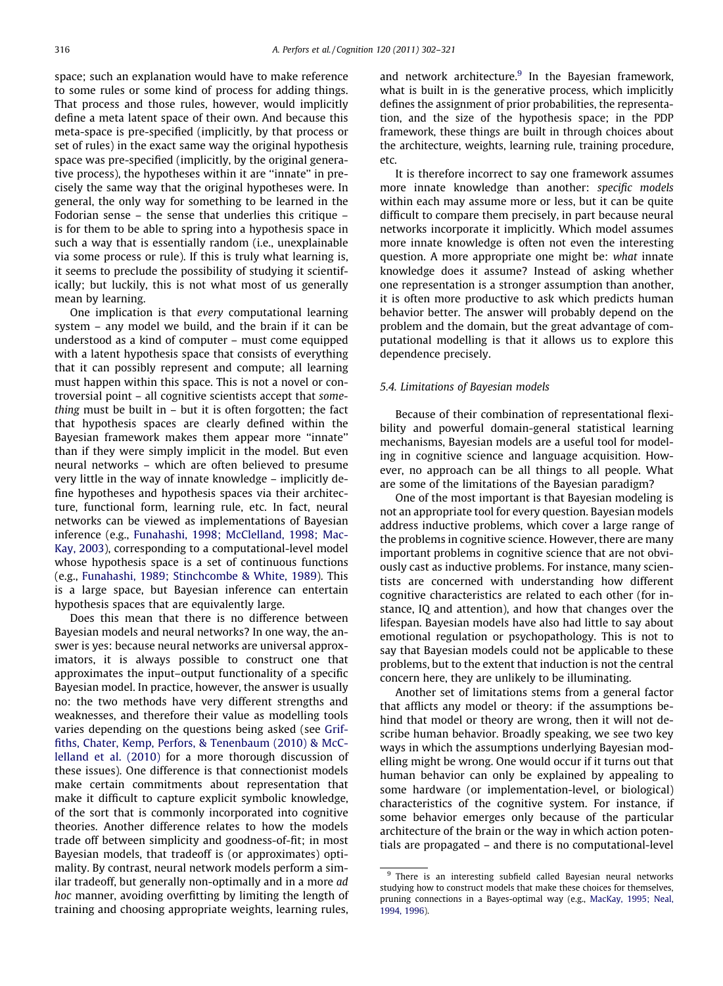space; such an explanation would have to make reference to some rules or some kind of process for adding things. That process and those rules, however, would implicitly define a meta latent space of their own. And because this meta-space is pre-specified (implicitly, by that process or set of rules) in the exact same way the original hypothesis space was pre-specified (implicitly, by the original generative process), the hypotheses within it are ''innate'' in precisely the same way that the original hypotheses were. In general, the only way for something to be learned in the Fodorian sense – the sense that underlies this critique – is for them to be able to spring into a hypothesis space in such a way that is essentially random (i.e., unexplainable via some process or rule). If this is truly what learning is, it seems to preclude the possibility of studying it scientifically; but luckily, this is not what most of us generally mean by learning.

One implication is that every computational learning system – any model we build, and the brain if it can be understood as a kind of computer – must come equipped with a latent hypothesis space that consists of everything that it can possibly represent and compute; all learning must happen within this space. This is not a novel or controversial point – all cognitive scientists accept that something must be built in – but it is often forgotten; the fact that hypothesis spaces are clearly defined within the Bayesian framework makes them appear more ''innate'' than if they were simply implicit in the model. But even neural networks – which are often believed to presume very little in the way of innate knowledge – implicitly define hypotheses and hypothesis spaces via their architecture, functional form, learning rule, etc. In fact, neural networks can be viewed as implementations of Bayesian inference (e.g., [Funahashi, 1998; McClelland, 1998; Mac-](#page-17-0)[Kay, 2003\)](#page-17-0), corresponding to a computational-level model whose hypothesis space is a set of continuous functions (e.g., [Funahashi, 1989; Stinchcombe & White, 1989\)](#page-17-0). This is a large space, but Bayesian inference can entertain hypothesis spaces that are equivalently large.

Does this mean that there is no difference between Bayesian models and neural networks? In one way, the answer is yes: because neural networks are universal approximators, it is always possible to construct one that approximates the input–output functionality of a specific Bayesian model. In practice, however, the answer is usually no: the two methods have very different strengths and weaknesses, and therefore their value as modelling tools varies depending on the questions being asked (see [Grif](#page-18-0)[fiths, Chater, Kemp, Perfors, & Tenenbaum \(2010\) & McC](#page-18-0)[lelland et al. \(2010\)](#page-18-0) for a more thorough discussion of these issues). One difference is that connectionist models make certain commitments about representation that make it difficult to capture explicit symbolic knowledge, of the sort that is commonly incorporated into cognitive theories. Another difference relates to how the models trade off between simplicity and goodness-of-fit; in most Bayesian models, that tradeoff is (or approximates) optimality. By contrast, neural network models perform a similar tradeoff, but generally non-optimally and in a more ad hoc manner, avoiding overfitting by limiting the length of training and choosing appropriate weights, learning rules, and network architecture. $9$  In the Bayesian framework, what is built in is the generative process, which implicitly defines the assignment of prior probabilities, the representation, and the size of the hypothesis space; in the PDP framework, these things are built in through choices about the architecture, weights, learning rule, training procedure, etc.

It is therefore incorrect to say one framework assumes more innate knowledge than another: specific models within each may assume more or less, but it can be quite difficult to compare them precisely, in part because neural networks incorporate it implicitly. Which model assumes more innate knowledge is often not even the interesting question. A more appropriate one might be: what innate knowledge does it assume? Instead of asking whether one representation is a stronger assumption than another, it is often more productive to ask which predicts human behavior better. The answer will probably depend on the problem and the domain, but the great advantage of computational modelling is that it allows us to explore this dependence precisely.

## 5.4. Limitations of Bayesian models

Because of their combination of representational flexibility and powerful domain-general statistical learning mechanisms, Bayesian models are a useful tool for modeling in cognitive science and language acquisition. However, no approach can be all things to all people. What are some of the limitations of the Bayesian paradigm?

One of the most important is that Bayesian modeling is not an appropriate tool for every question. Bayesian models address inductive problems, which cover a large range of the problems in cognitive science. However, there are many important problems in cognitive science that are not obviously cast as inductive problems. For instance, many scientists are concerned with understanding how different cognitive characteristics are related to each other (for instance, IQ and attention), and how that changes over the lifespan. Bayesian models have also had little to say about emotional regulation or psychopathology. This is not to say that Bayesian models could not be applicable to these problems, but to the extent that induction is not the central concern here, they are unlikely to be illuminating.

Another set of limitations stems from a general factor that afflicts any model or theory: if the assumptions behind that model or theory are wrong, then it will not describe human behavior. Broadly speaking, we see two key ways in which the assumptions underlying Bayesian modelling might be wrong. One would occur if it turns out that human behavior can only be explained by appealing to some hardware (or implementation-level, or biological) characteristics of the cognitive system. For instance, if some behavior emerges only because of the particular architecture of the brain or the way in which action potentials are propagated – and there is no computational-level

There is an interesting subfield called Bayesian neural networks studying how to construct models that make these choices for themselves, pruning connections in a Bayes-optimal way (e.g., [MacKay, 1995; Neal,](#page-18-0) [1994, 1996\)](#page-18-0).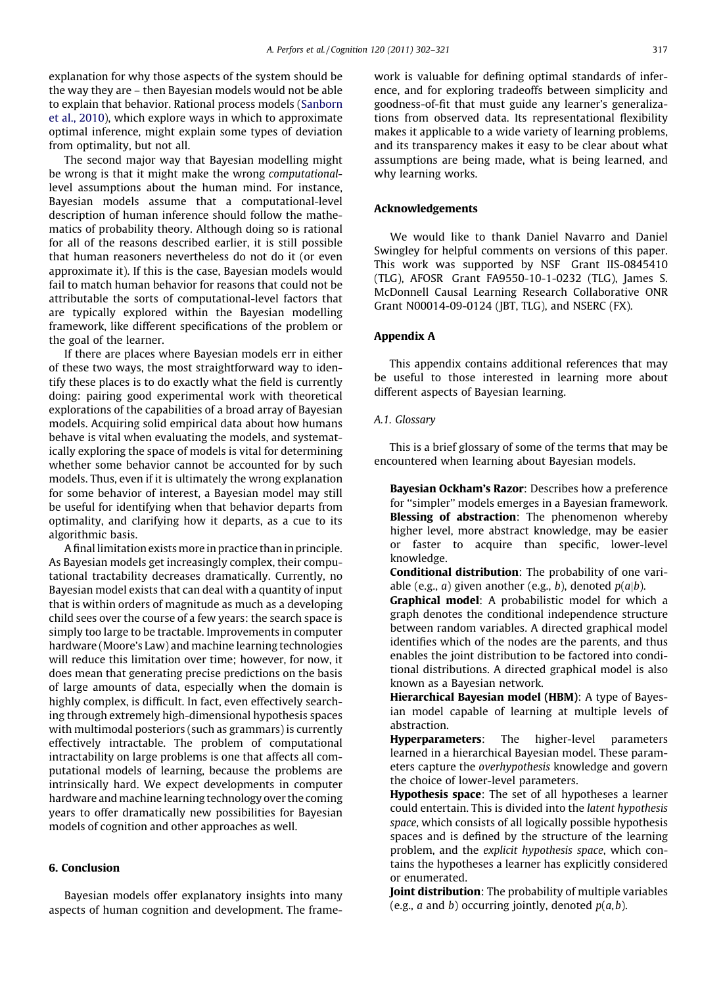explanation for why those aspects of the system should be the way they are – then Bayesian models would not be able to explain that behavior. Rational process models ([Sanborn](#page-19-0) [et al., 2010\)](#page-19-0), which explore ways in which to approximate optimal inference, might explain some types of deviation from optimality, but not all.

The second major way that Bayesian modelling might be wrong is that it might make the wrong computationallevel assumptions about the human mind. For instance, Bayesian models assume that a computational-level description of human inference should follow the mathematics of probability theory. Although doing so is rational for all of the reasons described earlier, it is still possible that human reasoners nevertheless do not do it (or even approximate it). If this is the case, Bayesian models would fail to match human behavior for reasons that could not be attributable the sorts of computational-level factors that are typically explored within the Bayesian modelling framework, like different specifications of the problem or the goal of the learner.

If there are places where Bayesian models err in either of these two ways, the most straightforward way to identify these places is to do exactly what the field is currently doing: pairing good experimental work with theoretical explorations of the capabilities of a broad array of Bayesian models. Acquiring solid empirical data about how humans behave is vital when evaluating the models, and systematically exploring the space of models is vital for determining whether some behavior cannot be accounted for by such models. Thus, even if it is ultimately the wrong explanation for some behavior of interest, a Bayesian model may still be useful for identifying when that behavior departs from optimality, and clarifying how it departs, as a cue to its algorithmic basis.

A final limitation existsmore in practice than in principle. As Bayesian models get increasingly complex, their computational tractability decreases dramatically. Currently, no Bayesian model exists that can deal with a quantity of input that is within orders of magnitude as much as a developing child sees over the course of a few years: the search space is simply too large to be tractable. Improvements in computer hardware (Moore's Law) and machine learning technologies will reduce this limitation over time; however, for now, it does mean that generating precise predictions on the basis of large amounts of data, especially when the domain is highly complex, is difficult. In fact, even effectively searching through extremely high-dimensional hypothesis spaces with multimodal posteriors (such as grammars) is currently effectively intractable. The problem of computational intractability on large problems is one that affects all computational models of learning, because the problems are intrinsically hard. We expect developments in computer hardware and machine learning technology over the coming years to offer dramatically new possibilities for Bayesian models of cognition and other approaches as well.

## 6. Conclusion

Bayesian models offer explanatory insights into many aspects of human cognition and development. The framework is valuable for defining optimal standards of inference, and for exploring tradeoffs between simplicity and goodness-of-fit that must guide any learner's generalizations from observed data. Its representational flexibility makes it applicable to a wide variety of learning problems, and its transparency makes it easy to be clear about what assumptions are being made, what is being learned, and why learning works.

## Acknowledgements

We would like to thank Daniel Navarro and Daniel Swingley for helpful comments on versions of this paper. This work was supported by NSF Grant IIS-0845410 (TLG), AFOSR Grant FA9550-10-1-0232 (TLG), James S. McDonnell Causal Learning Research Collaborative ONR Grant N00014-09-0124 (JBT, TLG), and NSERC (FX).

## Appendix A

This appendix contains additional references that may be useful to those interested in learning more about different aspects of Bayesian learning.

## A.1. Glossary

This is a brief glossary of some of the terms that may be encountered when learning about Bayesian models.

Bayesian Ockham's Razor: Describes how a preference for ''simpler'' models emerges in a Bayesian framework. Blessing of abstraction: The phenomenon whereby higher level, more abstract knowledge, may be easier or faster to acquire than specific, lower-level knowledge.

Conditional distribution: The probability of one variable (e.g.,  $a$ ) given another (e.g.,  $b$ ), denoted  $p(a|b)$ .

Graphical model: A probabilistic model for which a graph denotes the conditional independence structure between random variables. A directed graphical model identifies which of the nodes are the parents, and thus enables the joint distribution to be factored into conditional distributions. A directed graphical model is also known as a Bayesian network.

Hierarchical Bayesian model (HBM): A type of Bayesian model capable of learning at multiple levels of abstraction.

Hyperparameters: The higher-level parameters learned in a hierarchical Bayesian model. These parameters capture the overhypothesis knowledge and govern the choice of lower-level parameters.

Hypothesis space: The set of all hypotheses a learner could entertain. This is divided into the latent hypothesis space, which consists of all logically possible hypothesis spaces and is defined by the structure of the learning problem, and the explicit hypothesis space, which contains the hypotheses a learner has explicitly considered or enumerated.

Joint distribution: The probability of multiple variables (e.g.,  $a$  and  $b$ ) occurring jointly, denoted  $p(a,b)$ .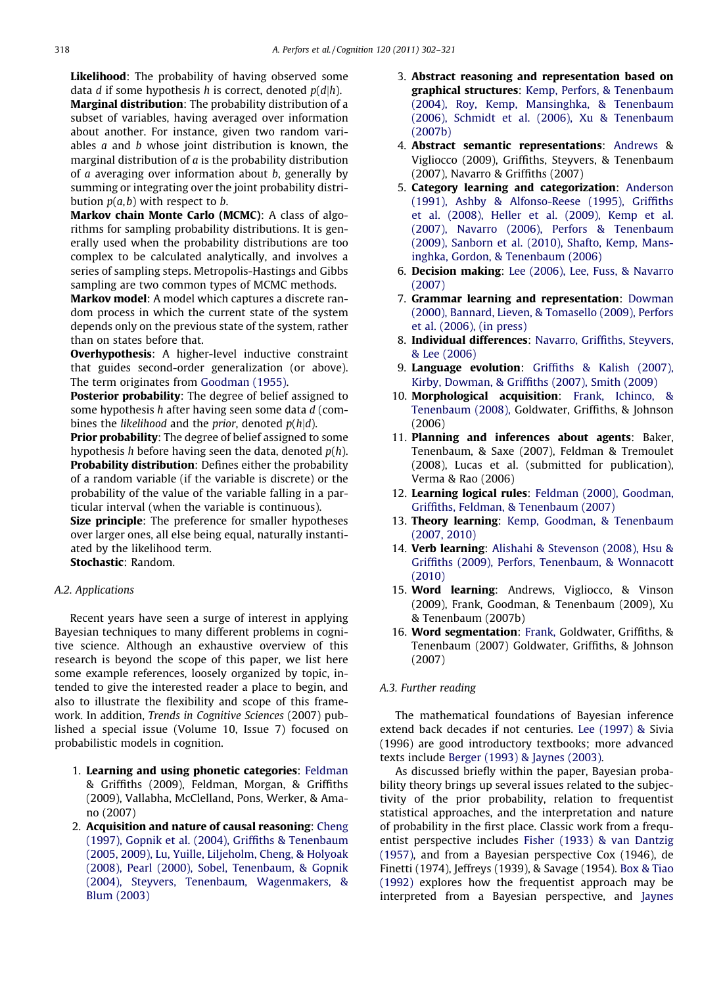Likelihood: The probability of having observed some data d if some hypothesis h is correct, denoted  $p(d|h)$ . Marginal distribution: The probability distribution of a subset of variables, having averaged over information about another. For instance, given two random variables  $a$  and  $b$  whose joint distribution is known, the marginal distribution of a is the probability distribution of  $a$  averaging over information about  $b$ , generally by summing or integrating over the joint probability distribution  $p(a,b)$  with respect to b.

Markov chain Monte Carlo (MCMC): A class of algorithms for sampling probability distributions. It is generally used when the probability distributions are too complex to be calculated analytically, and involves a series of sampling steps. Metropolis-Hastings and Gibbs sampling are two common types of MCMC methods.

Markov model: A model which captures a discrete random process in which the current state of the system depends only on the previous state of the system, rather than on states before that.

Overhypothesis: A higher-level inductive constraint that guides second-order generalization (or above). The term originates from [Goodman \(1955\).](#page-17-0)

Posterior probability: The degree of belief assigned to some hypothesis h after having seen some data d (combines the *likelihood* and the *prior*, denoted  $p(h|d)$ .

Prior probability: The degree of belief assigned to some hypothesis h before having seen the data, denoted  $p(h)$ . Probability distribution: Defines either the probability of a random variable (if the variable is discrete) or the probability of the value of the variable falling in a particular interval (when the variable is continuous).

Size principle: The preference for smaller hypotheses over larger ones, all else being equal, naturally instantiated by the likelihood term.

Stochastic: Random.

## A.2. Applications

Recent years have seen a surge of interest in applying Bayesian techniques to many different problems in cognitive science. Although an exhaustive overview of this research is beyond the scope of this paper, we list here some example references, loosely organized by topic, intended to give the interested reader a place to begin, and also to illustrate the flexibility and scope of this framework. In addition, Trends in Cognitive Sciences (2007) published a special issue (Volume 10, Issue 7) focused on probabilistic models in cognition.

- 1. Learning and using phonetic categories: [Feldman](#page-17-0) & Griffiths (2009), Feldman, Morgan, & Griffiths (2009), Vallabha, McClelland, Pons, Werker, & Amano (2007)
- 2. Acquisition and nature of causal reasoning: [Cheng](#page-17-0) [\(1997\), Gopnik et al. \(2004\), Griffiths & Tenenbaum](#page-17-0) [\(2005, 2009\), Lu, Yuille, Liljeholm, Cheng, & Holyoak](#page-17-0) [\(2008\), Pearl \(2000\), Sobel, Tenenbaum, & Gopnik](#page-17-0) [\(2004\), Steyvers, Tenenbaum, Wagenmakers, &](#page-17-0) [Blum \(2003\)](#page-17-0)
- 3. Abstract reasoning and representation based on graphical structures: [Kemp, Perfors, & Tenenbaum](#page-18-0) [\(2004\), Roy, Kemp, Mansinghka, & Tenenbaum](#page-18-0) [\(2006\), Schmidt et al. \(2006\), Xu & Tenenbaum](#page-18-0) [\(2007b\)](#page-18-0)
- 4. Abstract semantic representations: [Andrews](#page-17-0) & Vigliocco (2009), Griffiths, Steyvers, & Tenenbaum (2007), Navarro & Griffiths (2007)
- 5. Category learning and categorization: [Anderson](#page-17-0) [\(1991\), Ashby & Alfonso-Reese \(1995\), Griffiths](#page-17-0) [et al. \(2008\), Heller et al. \(2009\), Kemp et al.](#page-17-0) [\(2007\), Navarro \(2006\), Perfors & Tenenbaum](#page-17-0) [\(2009\), Sanborn et al. \(2010\), Shafto, Kemp, Mans](#page-17-0)[inghka, Gordon, & Tenenbaum \(2006\)](#page-17-0)
- 6. Decision making: [Lee \(2006\), Lee, Fuss, & Navarro](#page-18-0) [\(2007\)](#page-18-0)
- 7. Grammar learning and representation: [Dowman](#page-17-0) [\(2000\), Bannard, Lieven, & Tomasello \(2009\), Perfors](#page-17-0) [et al. \(2006\), \(in press\)](#page-17-0)
- 8. Individual differences: [Navarro, Griffiths, Steyvers,](#page-18-0) [& Lee \(2006\)](#page-18-0)
- 9. Language evolution: [Griffiths & Kalish \(2007\),](#page-18-0) [Kirby, Dowman, & Griffiths \(2007\), Smith \(2009\)](#page-18-0)
- 10. Morphological acquisition: [Frank, Ichinco, &](#page-17-0) [Tenenbaum \(2008\),](#page-17-0) Goldwater, Griffiths, & Johnson (2006)
- 11. Planning and inferences about agents: Baker, Tenenbaum, & Saxe (2007), Feldman & Tremoulet (2008), Lucas et al. (submitted for publication), Verma & Rao (2006)
- 12. Learning logical rules: [Feldman \(2000\), Goodman,](#page-17-0) [Griffiths, Feldman, & Tenenbaum \(2007\)](#page-17-0)
- 13. Theory learning: [Kemp, Goodman, & Tenenbaum](#page-18-0) [\(2007, 2010\)](#page-18-0)
- 14. Verb learning: [Alishahi & Stevenson \(2008\), Hsu &](#page-17-0) [Griffiths \(2009\), Perfors, Tenenbaum, & Wonnacott](#page-17-0) [\(2010\)](#page-17-0)
- 15. Word learning: Andrews, Vigliocco, & Vinson (2009), Frank, Goodman, & Tenenbaum (2009), Xu & Tenenbaum (2007b)
- 16. Word segmentation: [Frank,](#page-17-0) Goldwater, Griffiths, & Tenenbaum (2007) Goldwater, Griffiths, & Johnson (2007)

## A.3. Further reading

The mathematical foundations of Bayesian inference extend back decades if not centuries. [Lee \(1997\) &](#page-18-0) Sivia (1996) are good introductory textbooks; more advanced texts include [Berger \(1993\) & Jaynes \(2003\).](#page-17-0)

As discussed briefly within the paper, Bayesian probability theory brings up several issues related to the subjectivity of the prior probability, relation to frequentist statistical approaches, and the interpretation and nature of probability in the first place. Classic work from a frequentist perspective includes [Fisher \(1933\) & van Dantzig](#page-17-0) [\(1957\)](#page-17-0), and from a Bayesian perspective Cox (1946), de Finetti (1974), Jeffreys (1939), & Savage (1954). [Box & Tiao](#page-17-0) [\(1992\)](#page-17-0) explores how the frequentist approach may be interpreted from a Bayesian perspective, and [Jaynes](#page-18-0)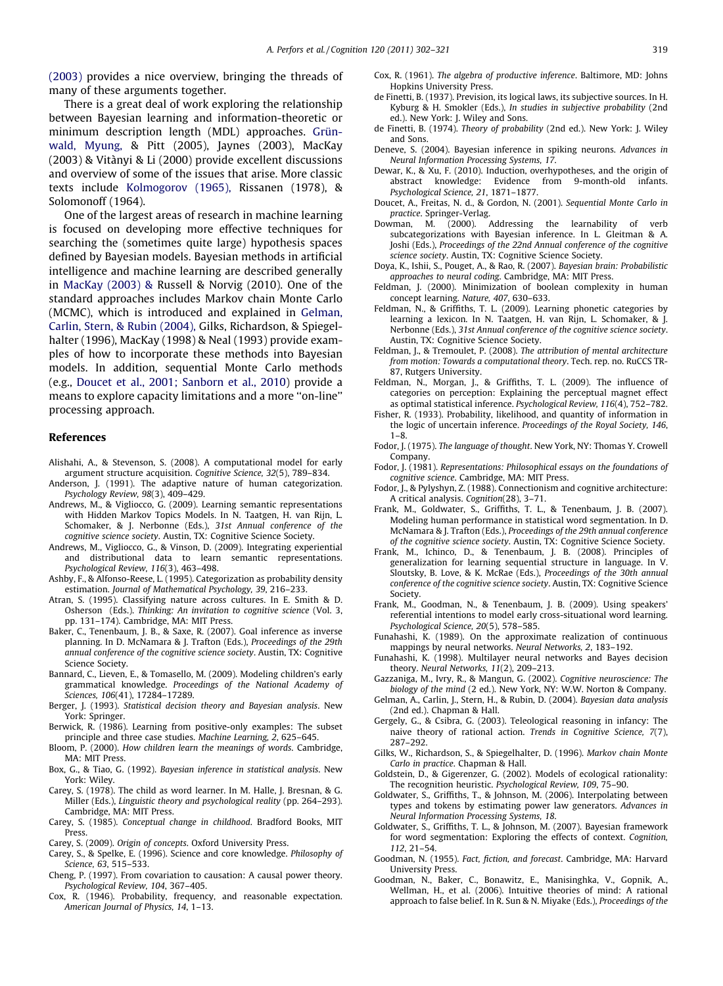<span id="page-17-0"></span>[\(2003\)](#page-18-0) provides a nice overview, bringing the threads of many of these arguments together.

There is a great deal of work exploring the relationship between Bayesian learning and information-theoretic or minimum description length (MDL) approaches. [Grün](#page-18-0)[wald, Myung,](#page-18-0) & Pitt (2005), Jaynes (2003), MacKay (2003) & Vitànyi & Li (2000) provide excellent discussions and overview of some of the issues that arise. More classic texts include [Kolmogorov \(1965\),](#page-18-0) Rissanen (1978), & Solomonoff (1964).

One of the largest areas of research in machine learning is focused on developing more effective techniques for searching the (sometimes quite large) hypothesis spaces defined by Bayesian models. Bayesian methods in artificial intelligence and machine learning are described generally in [MacKay \(2003\) &](#page-18-0) Russell & Norvig (2010). One of the standard approaches includes Markov chain Monte Carlo (MCMC), which is introduced and explained in Gelman, Carlin, Stern, & Rubin (2004), Gilks, Richardson, & Spiegelhalter (1996), MacKay (1998) & Neal (1993) provide examples of how to incorporate these methods into Bayesian models. In addition, sequential Monte Carlo methods (e.g., Doucet et al., 2001; Sanborn et al., 2010) provide a means to explore capacity limitations and a more ''on-line'' processing approach.

#### References

- Alishahi, A., & Stevenson, S. (2008). A computational model for early argument structure acquisition. Cognitive Science, 32(5), 789–834.
- Anderson, J. (1991). The adaptive nature of human categorization. Psychology Review, 98(3), 409–429.
- Andrews, M., & Vigliocco, G. (2009). Learning semantic representations with Hidden Markov Topics Models. In N. Taatgen, H. van Rijn, L. Schomaker, & J. Nerbonne (Eds.), 31st Annual conference of the cognitive science society. Austin, TX: Cognitive Science Society.
- Andrews, M., Vigliocco, G., & Vinson, D. (2009). Integrating experiential and distributional data to learn semantic representations. Psychological Review, 116(3), 463–498.
- Ashby, F., & Alfonso-Reese, L. (1995). Categorization as probability density estimation. Journal of Mathematical Psychology, 39, 216–233.
- Atran, S. (1995). Classifying nature across cultures. In E. Smith & D. Osherson (Eds.). Thinking: An invitation to cognitive science (Vol. 3, pp. 131–174). Cambridge, MA: MIT Press.
- Baker, C., Tenenbaum, J. B., & Saxe, R. (2007). Goal inference as inverse planning. In D. McNamara & J. Trafton (Eds.), Proceedings of the 29th annual conference of the cognitive science society. Austin, TX: Cognitive Science Society.
- Bannard, C., Lieven, E., & Tomasello, M. (2009). Modeling children's early grammatical knowledge. Proceedings of the National Academy of Sciences, 106(41), 17284–17289.
- Berger, J. (1993). Statistical decision theory and Bayesian analysis. New York: Springer.
- Berwick, R. (1986). Learning from positive-only examples: The subset principle and three case studies. Machine Learning, 2, 625–645.
- Bloom, P. (2000). How children learn the meanings of words. Cambridge, MA: MIT Press.
- Box, G., & Tiao, G. (1992). Bayesian inference in statistical analysis. New York: Wiley.
- Carey, S. (1978). The child as word learner. In M. Halle, J. Bresnan, & G. Miller (Eds.), Linguistic theory and psychological reality (pp. 264–293). Cambridge, MA: MIT Press.
- Carey, S. (1985). Conceptual change in childhood. Bradford Books, MIT Press.
- Carey, S. (2009). Origin of concepts. Oxford University Press.
- Carey, S., & Spelke, E. (1996). Science and core knowledge. Philosophy of Science, 63, 515–533.
- Cheng, P. (1997). From covariation to causation: A causal power theory. Psychological Review, 104, 367–405.
- Cox, R. (1946). Probability, frequency, and reasonable expectation. American Journal of Physics, 14, 1–13.
- Cox, R. (1961). The algebra of productive inference. Baltimore, MD: Johns Hopkins University Press.
- de Finetti, B. (1937). Prevision, its logical laws, its subjective sources. In H. Kyburg & H. Smokler (Eds.), In studies in subjective probability (2nd ed.). New York: J. Wiley and Sons.
- de Finetti, B. (1974). Theory of probability (2nd ed.). New York: J. Wiley and Sons.
- Deneve, S. (2004). Bayesian inference in spiking neurons. Advances in Neural Information Processing Systems, 17.
- Dewar, K., & Xu, F. (2010). Induction, overhypotheses, and the origin of abstract knowledge: Evidence from 9-month-old infants. Psychological Science, 21, 1871–1877.
- Doucet, A., Freitas, N. d., & Gordon, N. (2001). Sequential Monte Carlo in practice. Springer-Verlag.<br>Dowman, M. (2000).
- $\overline{\phantom{a}}$  Addressing the learnability of verb subcategorizations with Bayesian inference. In L. Gleitman & A. Joshi (Eds.), Proceedings of the 22nd Annual conference of the cognitive science society. Austin, TX: Cognitive Science Society.
- Doya, K., Ishii, S., Pouget, A., & Rao, R. (2007). Bayesian brain: Probabilistic approaches to neural coding. Cambridge, MA: MIT Press.
- Feldman, J. (2000). Minimization of boolean complexity in human concept learning. Nature, 407, 630–633.
- Feldman, N., & Griffiths, T. L. (2009). Learning phonetic categories by learning a lexicon. In N. Taatgen, H. van Rijn, L. Schomaker, & J. Nerbonne (Eds.), 31st Annual conference of the cognitive science society. Austin, TX: Cognitive Science Society.
- Feldman, J., & Tremoulet, P. (2008). The attribution of mental architecture from motion: Towards a computational theory. Tech. rep. no. RuCCS TR-87, Rutgers University.
- Feldman, N., Morgan, J., & Griffiths, T. L. (2009). The influence of categories on perception: Explaining the perceptual magnet effect as optimal statistical inference. Psychological Review, 116(4), 752–782.
- Fisher, R. (1933). Probability, likelihood, and quantity of information in the logic of uncertain inference. Proceedings of the Royal Society, 146, 1–8.
- Fodor, J. (1975). The language of thought. New York, NY: Thomas Y. Crowell Company.
- Fodor, J. (1981). Representations: Philosophical essays on the foundations of cognitive science. Cambridge, MA: MIT Press.
- Fodor, J., & Pylyshyn, Z. (1988). Connectionism and cognitive architecture: A critical analysis. Cognition(28), 3–71.
- Frank, M., Goldwater, S., Griffiths, T. L., & Tenenbaum, J. B. (2007). Modeling human performance in statistical word segmentation. In D. McNamara & J. Trafton (Eds.), Proceedings of the 29th annual conference of the cognitive science society. Austin, TX: Cognitive Science Society.
- Frank, M., Ichinco, D., & Tenenbaum, J. B. (2008). Principles of generalization for learning sequential structure in language. In V. Sloutsky, B. Love, & K. McRae (Eds.), Proceedings of the 30th annual conference of the cognitive science society. Austin, TX: Cognitive Science Society.
- Frank, M., Goodman, N., & Tenenbaum, J. B. (2009). Using speakers' referential intentions to model early cross-situational word learning. Psychological Science, 20(5), 578–585.
- Funahashi, K. (1989). On the approximate realization of continuous mappings by neural networks. Neural Networks, 2, 183–192.
- Funahashi, K. (1998). Multilayer neural networks and Bayes decision theory. Neural Networks, 11(2), 209–213.
- Gazzaniga, M., Ivry, R., & Mangun, G. (2002). Cognitive neuroscience: The biology of the mind (2 ed.). New York, NY: W.W. Norton & Company.
- Gelman, A., Carlin, J., Stern, H., & Rubin, D. (2004). Bayesian data analysis (2nd ed.). Chapman & Hall.
- Gergely, G., & Csibra, G. (2003). Teleological reasoning in infancy: The naive theory of rational action. Trends in Cognitive Science, 7(7), 287–292.
- Gilks, W., Richardson, S., & Spiegelhalter, D. (1996). Markov chain Monte Carlo in practice. Chapman & Hall.
- Goldstein, D., & Gigerenzer, G. (2002). Models of ecological rationality: The recognition heuristic. Psychological Review, 109, 75–90.
- Goldwater, S., Griffiths, T., & Johnson, M. (2006). Interpolating between types and tokens by estimating power law generators. Advances in Neural Information Processing Systems, 18.
- Goldwater, S., Griffiths, T. L., & Johnson, M. (2007). Bayesian framework for word segmentation: Exploring the effects of context. Cognition, 112, 21–54.
- Goodman, N. (1955). Fact, fiction, and forecast. Cambridge, MA: Harvard University Press.
- Goodman, N., Baker, C., Bonawitz, E., Manisinghka, V., Gopnik, A., Wellman, H., et al. (2006). Intuitive theories of mind: A rational approach to false belief. In R. Sun & N. Miyake (Eds.), Proceedings of the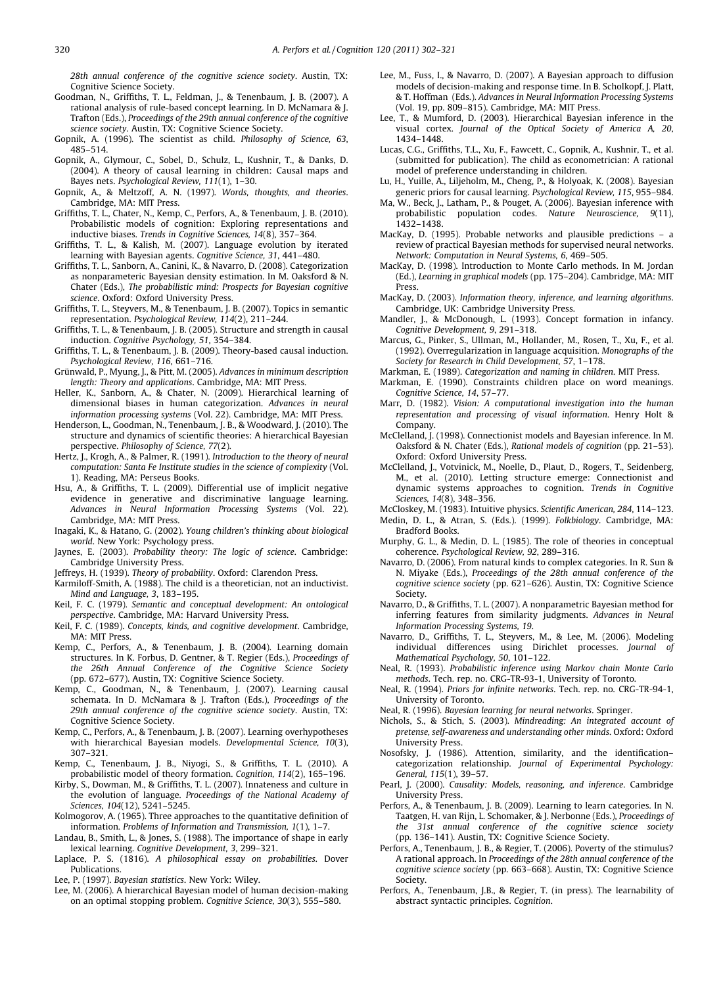<span id="page-18-0"></span>28th annual conference of the cognitive science society. Austin, TX: Cognitive Science Society.

- Goodman, N., Griffiths, T. L., Feldman, J., & Tenenbaum, J. B. (2007). A rational analysis of rule-based concept learning. In D. McNamara & J. Trafton (Eds.), Proceedings of the 29th annual conference of the cognitive science society. Austin, TX: Cognitive Science Society.
- Gopnik, A. (1996). The scientist as child. Philosophy of Science, 63, 485–514.
- Gopnik, A., Glymour, C., Sobel, D., Schulz, L., Kushnir, T., & Danks, D. (2004). A theory of causal learning in children: Causal maps and Bayes nets. Psychological Review, 111(1), 1–30.
- Gopnik, A., & Meltzoff, A. N. (1997). Words, thoughts, and theories. Cambridge, MA: MIT Press.
- Griffiths, T. L., Chater, N., Kemp, C., Perfors, A., & Tenenbaum, J. B. (2010). Probabilistic models of cognition: Exploring representations and inductive biases. Trends in Cognitive Sciences, 14(8), 357–364.
- Griffiths, T. L., & Kalish, M. (2007). Language evolution by iterated learning with Bayesian agents. Cognitive Science, 31, 441–480.
- Griffiths, T. L., Sanborn, A., Canini, K., & Navarro, D. (2008). Categorization as nonparameteric Bayesian density estimation. In M. Oaksford & N. Chater (Eds.), The probabilistic mind: Prospects for Bayesian cognitive science. Oxford: Oxford University Press.
- Griffiths, T. L., Steyvers, M., & Tenenbaum, J. B. (2007). Topics in semantic representation. Psychological Review, 114(2), 211–244.
- Griffiths, T. L., & Tenenbaum, J. B. (2005). Structure and strength in causal induction. Cognitive Psychology, 51, 354–384.
- Griffiths, T. L., & Tenenbaum, J. B. (2009). Theory-based causal induction. Psychological Review, 116, 661–716.
- Grünwald, P., Myung, J., & Pitt, M. (2005). Advances in minimum description length: Theory and applications. Cambridge, MA: MIT Press.
- Heller, K., Sanborn, A., & Chater, N. (2009). Hierarchical learning of dimensional biases in human categorization. Advances in neural information processing systems (Vol. 22). Cambridge, MA: MIT Press.
- Henderson, L., Goodman, N., Tenenbaum, J. B., & Woodward, J. (2010). The structure and dynamics of scientific theories: A hierarchical Bayesian perspective. Philosophy of Science, 77(2).
- Hertz, J., Krogh, A., & Palmer, R. (1991). Introduction to the theory of neural computation: Santa Fe Institute studies in the science of complexity (Vol. 1). Reading, MA: Perseus Books.
- Hsu, A., & Griffiths, T. L. (2009). Differential use of implicit negative evidence in generative and discriminative language learning. Advances in Neural Information Processing Systems (Vol. 22). Cambridge, MA: MIT Press.
- Inagaki, K., & Hatano, G. (2002). Young children's thinking about biological world. New York: Psychology press.
- Jaynes, E. (2003). Probability theory: The logic of science. Cambridge: Cambridge University Press.
- Jeffreys, H. (1939). Theory of probability. Oxford: Clarendon Press.
- Karmiloff-Smith, A. (1988). The child is a theoretician, not an inductivist. Mind and Language, 3, 183–195.
- Keil, F. C. (1979). Semantic and conceptual development: An ontological perspective. Cambridge, MA: Harvard University Press.
- Keil, F. C. (1989). Concepts, kinds, and cognitive development. Cambridge, MA: MIT Press.
- Kemp, C., Perfors, A., & Tenenbaum, J. B. (2004). Learning domain structures. In K. Forbus, D. Gentner, & T. Regier (Eds.), Proceedings of the 26th Annual Conference of the Cognitive Science Society (pp. 672–677). Austin, TX: Cognitive Science Society.
- Kemp, C., Goodman, N., & Tenenbaum, J. (2007). Learning causal schemata. In D. McNamara & J. Trafton (Eds.), Proceedings of the 29th annual conference of the cognitive science society. Austin, TX: Cognitive Science Society.
- Kemp, C., Perfors, A., & Tenenbaum, J. B. (2007). Learning overhypotheses with hierarchical Bayesian models. Developmental Science, 10(3), 307–321.
- Kemp, C., Tenenbaum, J. B., Niyogi, S., & Griffiths, T. L. (2010). A probabilistic model of theory formation. Cognition, 114(2), 165–196.
- Kirby, S., Dowman, M., & Griffiths, T. L. (2007). Innateness and culture in the evolution of language. Proceedings of the National Academy of Sciences, 104(12), 5241–5245.
- Kolmogorov, A. (1965). Three approaches to the quantitative definition of information. Problems of Information and Transmission, 1(1), 1–7.
- Landau, B., Smith, L., & Jones, S. (1988). The importance of shape in early lexical learning. Cognitive Development, 3, 299–321.
- Laplace, P. S. (1816). A philosophical essay on probabilities. Dover Publications.
- Lee, P. (1997). Bayesian statistics. New York: Wiley.
- Lee, M. (2006). A hierarchical Bayesian model of human decision-making on an optimal stopping problem. Cognitive Science, 30(3), 555–580.
- Lee, M., Fuss, I., & Navarro, D. (2007). A Bayesian approach to diffusion models of decision-making and response time. In B. Scholkopf, J. Platt, & T. Hoffman (Eds.). Advances in Neural Information Processing Systems (Vol. 19, pp. 809–815). Cambridge, MA: MIT Press.
- Lee, T., & Mumford, D. (2003). Hierarchical Bayesian inference in the visual cortex. Journal of the Optical Society of America A, 20, 1434–1448.
- Lucas, C.G., Griffiths, T.L., Xu, F., Fawcett, C., Gopnik, A., Kushnir, T., et al. (submitted for publication). The child as econometrician: A rational model of preference understanding in children.
- Lu, H., Yuille, A., Liljeholm, M., Cheng, P., & Holyoak, K. (2008). Bayesian generic priors for causal learning. Psychological Review, 115, 955–984.
- Ma, W., Beck, J., Latham, P., & Pouget, A. (2006). Bayesian inference with probabilistic population codes. Nature Neuroscience, 9(11), 1432–1438.
- MacKay, D. (1995). Probable networks and plausible predictions a review of practical Bayesian methods for supervised neural networks. Network: Computation in Neural Systems, 6, 469–505.
- MacKay, D. (1998). Introduction to Monte Carlo methods. In M. Jordan (Ed.), Learning in graphical models (pp. 175–204). Cambridge, MA: MIT Press.
- MacKay, D. (2003). Information theory, inference, and learning algorithms. Cambridge, UK: Cambridge University Press.
- Mandler, J., & McDonough, L. (1993). Concept formation in infancy. Cognitive Development, 9, 291–318.
- Marcus, G., Pinker, S., Ullman, M., Hollander, M., Rosen, T., Xu, F., et al. (1992). Overregularization in language acquisition. Monographs of the Society for Research in Child Development, 57, 1–178.
- Markman, E. (1989). Categorization and naming in children. MIT Press.
- Markman, E. (1990). Constraints children place on word meanings. Cognitive Science, 14, 57–77.
- Marr, D. (1982). Vision: A computational investigation into the human representation and processing of visual information. Henry Holt & Company.
- McClelland, J. (1998). Connectionist models and Bayesian inference. In M. Oaksford & N. Chater (Eds.), Rational models of cognition (pp. 21–53). Oxford: Oxford University Press.
- McClelland, J., Votvinick, M., Noelle, D., Plaut, D., Rogers, T., Seidenberg, M., et al. (2010). Letting structure emerge: Connectionist and dynamic systems approaches to cognition. Trends in Cognitive Sciences, 14(8), 348–356.
- McCloskey, M. (1983). Intuitive physics. Scientific American, 284, 114–123.
- Medin, D. L., & Atran, S. (Eds.). (1999). Folkbiology. Cambridge, MA: Bradford Books.
- Murphy, G. L., & Medin, D. L. (1985). The role of theories in conceptual coherence. Psychological Review, 92, 289–316.
- Navarro, D. (2006). From natural kinds to complex categories. In R. Sun & N. Miyake (Eds.), Proceedings of the 28th annual conference of the cognitive science society (pp. 621–626). Austin, TX: Cognitive Science Society.
- Navarro, D., & Griffiths, T. L. (2007). A nonparametric Bayesian method for inferring features from similarity judgments. Advances in Neural Information Processing Systems, 19.
- Navarro, D., Griffiths, T. L., Steyvers, M., & Lee, M. (2006). Modeling individual differences using Dirichlet processes. Journal of Mathematical Psychology, 50, 101–122.
- Neal, R. (1993). Probabilistic inference using Markov chain Monte Carlo methods. Tech. rep. no. CRG-TR-93-1, University of Toronto.
- Neal, R. (1994). Priors for infinite networks. Tech. rep. no. CRG-TR-94-1, University of Toronto.
- Neal, R. (1996). Bayesian learning for neural networks. Springer.
- Nichols, S., & Stich, S. (2003). Mindreading: An integrated account of pretense, self-awareness and understanding other minds. Oxford: Oxford University Press.
- Nosofsky, J. (1986). Attention, similarity, and the identification– categorization relationship. Journal of Experimental Psychology: General, 115(1), 39–57.
- Pearl, J. (2000). Causality: Models, reasoning, and inference. Cambridge University Press.
- Perfors, A., & Tenenbaum, J. B. (2009). Learning to learn categories. In N. Taatgen, H. van Rijn, L. Schomaker, & J. Nerbonne (Eds.), Proceedings of the 31st annual conference of the cognitive science society (pp. 136–141). Austin, TX: Cognitive Science Society.
- Perfors, A., Tenenbaum, J. B., & Regier, T. (2006). Poverty of the stimulus? A rational approach. In Proceedings of the 28th annual conference of the cognitive science society (pp. 663–668). Austin, TX: Cognitive Science Society.
- Perfors, A., Tenenbaum, J.B., & Regier, T. (in press). The learnability of abstract syntactic principles. Cognition.